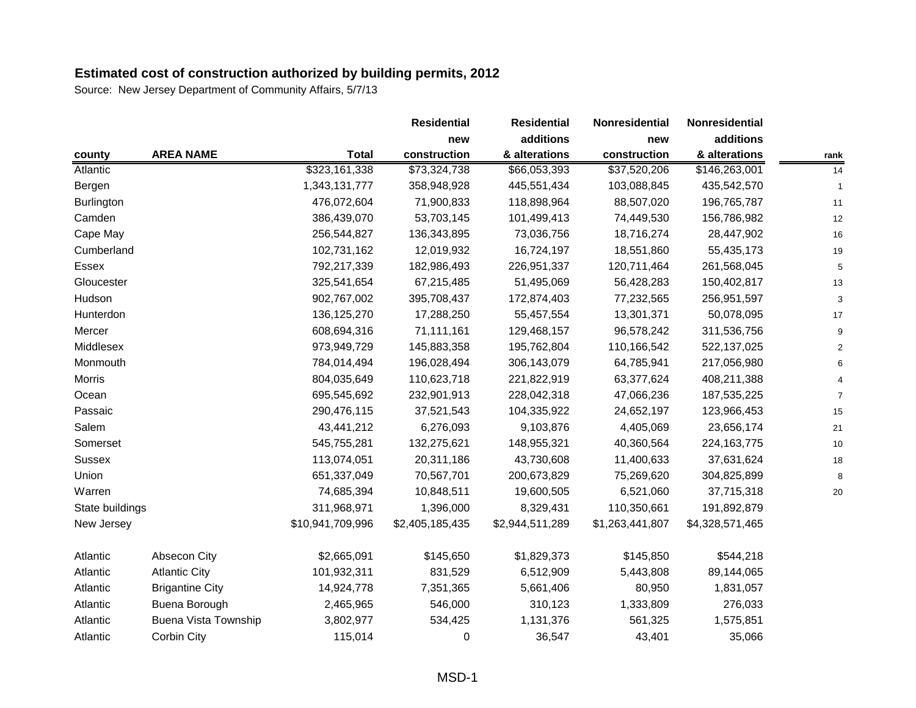|                   |                             |                  | <b>Residential</b> | <b>Residential</b> | Nonresidential  | Nonresidential  |      |
|-------------------|-----------------------------|------------------|--------------------|--------------------|-----------------|-----------------|------|
|                   |                             |                  | new                | additions          | new             | additions       |      |
| county            | <b>AREA NAME</b>            | <b>Total</b>     | construction       | & alterations      | construction    | & alterations   | rank |
| Atlantic          |                             | \$323,161,338    | \$73,324,738       | \$66,053,393       | \$37,520,206    | \$146,263,001   | 14   |
| Bergen            |                             | 1,343,131,777    | 358,948,928        | 445,551,434        | 103,088,845     | 435,542,570     |      |
| <b>Burlington</b> |                             | 476,072,604      | 71,900,833         | 118,898,964        | 88,507,020      | 196,765,787     | 11   |
| Camden            |                             | 386,439,070      | 53,703,145         | 101,499,413        | 74,449,530      | 156,786,982     | 12   |
| Cape May          |                             | 256,544,827      | 136,343,895        | 73,036,756         | 18,716,274      | 28,447,902      | 16   |
| Cumberland        |                             | 102,731,162      | 12,019,932         | 16,724,197         | 18,551,860      | 55,435,173      | 19   |
| Essex             |                             | 792,217,339      | 182,986,493        | 226,951,337        | 120,711,464     | 261,568,045     | 5    |
| Gloucester        |                             | 325,541,654      | 67,215,485         | 51,495,069         | 56,428,283      | 150,402,817     | 13   |
| Hudson            |                             | 902,767,002      | 395,708,437        | 172,874,403        | 77,232,565      | 256,951,597     |      |
| Hunterdon         |                             | 136, 125, 270    | 17,288,250         | 55,457,554         | 13,301,371      | 50,078,095      | 17   |
| Mercer            |                             | 608,694,316      | 71,111,161         | 129,468,157        | 96,578,242      | 311,536,756     |      |
| Middlesex         |                             | 973,949,729      | 145,883,358        | 195,762,804        | 110,166,542     | 522,137,025     |      |
| Monmouth          |                             | 784,014,494      | 196,028,494        | 306,143,079        | 64,785,941      | 217,056,980     |      |
| <b>Morris</b>     |                             | 804,035,649      | 110,623,718        | 221,822,919        | 63,377,624      | 408,211,388     |      |
| Ocean             |                             | 695,545,692      | 232,901,913        | 228,042,318        | 47,066,236      | 187,535,225     |      |
| Passaic           |                             | 290,476,115      | 37,521,543         | 104,335,922        | 24,652,197      | 123,966,453     | 15   |
| Salem             |                             | 43,441,212       | 6,276,093          | 9,103,876          | 4,405,069       | 23,656,174      | 21   |
| Somerset          |                             | 545,755,281      | 132,275,621        | 148,955,321        | 40,360,564      | 224, 163, 775   | 10   |
| <b>Sussex</b>     |                             | 113,074,051      | 20,311,186         | 43,730,608         | 11,400,633      | 37,631,624      | 18   |
| Union             |                             | 651,337,049      | 70,567,701         | 200,673,829        | 75,269,620      | 304,825,899     |      |
| Warren            |                             | 74,685,394       | 10,848,511         | 19,600,505         | 6,521,060       | 37,715,318      | 20   |
| State buildings   |                             | 311,968,971      | 1,396,000          | 8,329,431          | 110,350,661     | 191,892,879     |      |
| New Jersey        |                             | \$10,941,709,996 | \$2,405,185,435    | \$2,944,511,289    | \$1,263,441,807 | \$4,328,571,465 |      |
| Atlantic          | Absecon City                | \$2,665,091      | \$145,650          | \$1,829,373        | \$145,850       | \$544,218       |      |
| Atlantic          | <b>Atlantic City</b>        | 101,932,311      | 831,529            | 6,512,909          | 5,443,808       | 89,144,065      |      |
| Atlantic          | <b>Brigantine City</b>      | 14,924,778       | 7,351,365          | 5,661,406          | 80,950          | 1,831,057       |      |
| Atlantic          | Buena Borough               | 2,465,965        | 546,000            | 310,123            | 1,333,809       | 276,033         |      |
| Atlantic          | <b>Buena Vista Township</b> | 3,802,977        | 534,425            | 1,131,376          | 561,325         | 1,575,851       |      |
| Atlantic          | Corbin City                 | 115,014          | 0                  | 36,547             | 43,401          | 35,066          |      |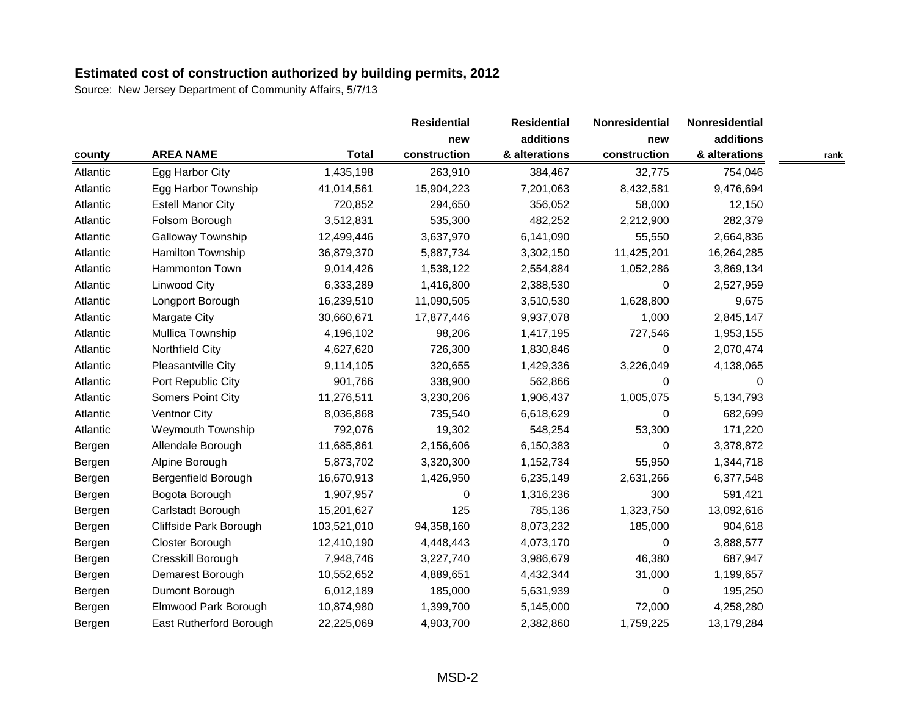|          |                          |              | <b>Residential</b> | <b>Residential</b> | Nonresidential | Nonresidential |      |
|----------|--------------------------|--------------|--------------------|--------------------|----------------|----------------|------|
|          |                          |              | new                | additions          | new            | additions      |      |
| county   | <b>AREA NAME</b>         | <b>Total</b> | construction       | & alterations      | construction   | & alterations  | rank |
| Atlantic | Egg Harbor City          | 1,435,198    | 263,910            | 384,467            | 32,775         | 754,046        |      |
| Atlantic | Egg Harbor Township      | 41,014,561   | 15,904,223         | 7,201,063          | 8,432,581      | 9,476,694      |      |
| Atlantic | <b>Estell Manor City</b> | 720,852      | 294,650            | 356,052            | 58,000         | 12,150         |      |
| Atlantic | Folsom Borough           | 3,512,831    | 535,300            | 482,252            | 2,212,900      | 282,379        |      |
| Atlantic | Galloway Township        | 12,499,446   | 3,637,970          | 6,141,090          | 55,550         | 2,664,836      |      |
| Atlantic | Hamilton Township        | 36,879,370   | 5,887,734          | 3,302,150          | 11,425,201     | 16,264,285     |      |
| Atlantic | Hammonton Town           | 9,014,426    | 1,538,122          | 2,554,884          | 1,052,286      | 3,869,134      |      |
| Atlantic | <b>Linwood City</b>      | 6,333,289    | 1,416,800          | 2,388,530          | $\Omega$       | 2,527,959      |      |
| Atlantic | Longport Borough         | 16,239,510   | 11,090,505         | 3,510,530          | 1,628,800      | 9,675          |      |
| Atlantic | Margate City             | 30,660,671   | 17,877,446         | 9,937,078          | 1,000          | 2,845,147      |      |
| Atlantic | Mullica Township         | 4,196,102    | 98,206             | 1,417,195          | 727,546        | 1,953,155      |      |
| Atlantic | Northfield City          | 4,627,620    | 726,300            | 1,830,846          | 0              | 2,070,474      |      |
| Atlantic | Pleasantville City       | 9,114,105    | 320,655            | 1,429,336          | 3,226,049      | 4,138,065      |      |
| Atlantic | Port Republic City       | 901,766      | 338,900            | 562,866            | $\Omega$       | $\Omega$       |      |
| Atlantic | Somers Point City        | 11,276,511   | 3,230,206          | 1,906,437          | 1,005,075      | 5,134,793      |      |
| Atlantic | Ventnor City             | 8,036,868    | 735,540            | 6,618,629          | $\Omega$       | 682,699        |      |
| Atlantic | <b>Weymouth Township</b> | 792,076      | 19,302             | 548,254            | 53,300         | 171,220        |      |
| Bergen   | Allendale Borough        | 11,685,861   | 2,156,606          | 6,150,383          | 0              | 3,378,872      |      |
| Bergen   | Alpine Borough           | 5,873,702    | 3,320,300          | 1,152,734          | 55,950         | 1,344,718      |      |
| Bergen   | Bergenfield Borough      | 16,670,913   | 1,426,950          | 6,235,149          | 2,631,266      | 6,377,548      |      |
| Bergen   | Bogota Borough           | 1,907,957    | 0                  | 1,316,236          | 300            | 591,421        |      |
| Bergen   | Carlstadt Borough        | 15,201,627   | 125                | 785,136            | 1,323,750      | 13,092,616     |      |
| Bergen   | Cliffside Park Borough   | 103,521,010  | 94,358,160         | 8,073,232          | 185,000        | 904,618        |      |
| Bergen   | Closter Borough          | 12,410,190   | 4,448,443          | 4,073,170          | 0              | 3,888,577      |      |
| Bergen   | Cresskill Borough        | 7,948,746    | 3,227,740          | 3,986,679          | 46,380         | 687,947        |      |
| Bergen   | Demarest Borough         | 10,552,652   | 4,889,651          | 4,432,344          | 31,000         | 1,199,657      |      |
| Bergen   | Dumont Borough           | 6,012,189    | 185,000            | 5,631,939          | 0              | 195,250        |      |
| Bergen   | Elmwood Park Borough     | 10,874,980   | 1,399,700          | 5,145,000          | 72,000         | 4,258,280      |      |
| Bergen   | East Rutherford Borough  | 22,225,069   | 4,903,700          | 2,382,860          | 1,759,225      | 13,179,284     |      |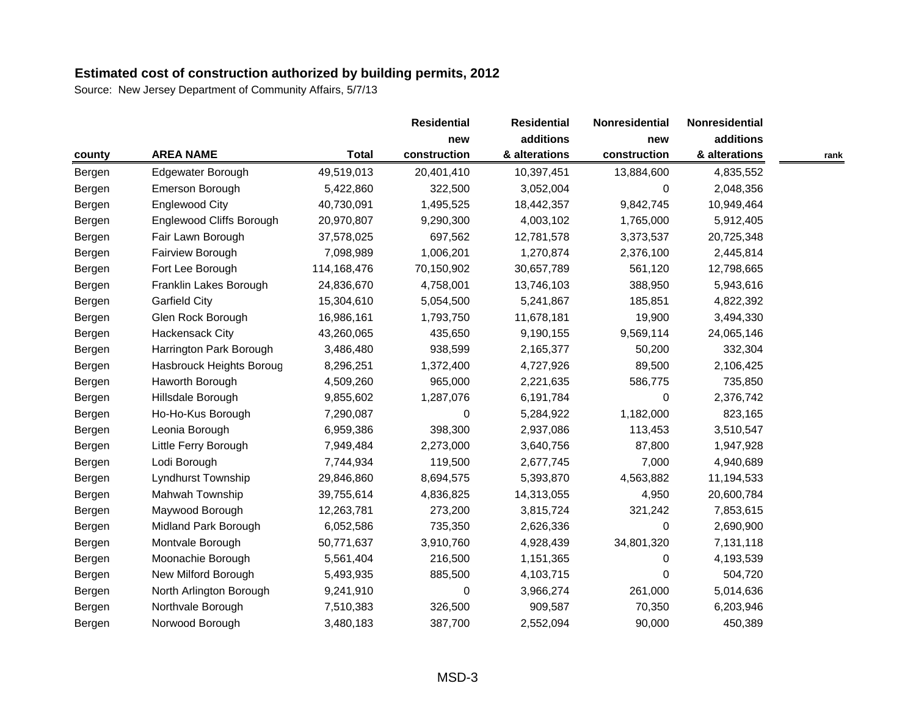|        |                                 |              | <b>Residential</b><br>new | <b>Residential</b> | Nonresidential<br>new | <b>Nonresidential</b> |      |
|--------|---------------------------------|--------------|---------------------------|--------------------|-----------------------|-----------------------|------|
|        |                                 |              |                           | additions          |                       | additions             |      |
| county | <b>AREA NAME</b>                | <b>Total</b> | construction              | & alterations      | construction          | & alterations         | rank |
| Bergen | Edgewater Borough               | 49,519,013   | 20,401,410                | 10,397,451         | 13,884,600            | 4,835,552             |      |
| Bergen | Emerson Borough                 | 5,422,860    | 322,500                   | 3,052,004          | 0                     | 2,048,356             |      |
| Bergen | <b>Englewood City</b>           | 40,730,091   | 1,495,525                 | 18,442,357         | 9,842,745             | 10,949,464            |      |
| Bergen | <b>Englewood Cliffs Borough</b> | 20,970,807   | 9,290,300                 | 4,003,102          | 1,765,000             | 5,912,405             |      |
| Bergen | Fair Lawn Borough               | 37,578,025   | 697,562                   | 12,781,578         | 3,373,537             | 20,725,348            |      |
| Bergen | Fairview Borough                | 7,098,989    | 1,006,201                 | 1,270,874          | 2,376,100             | 2,445,814             |      |
| Bergen | Fort Lee Borough                | 114,168,476  | 70,150,902                | 30,657,789         | 561,120               | 12,798,665            |      |
| Bergen | Franklin Lakes Borough          | 24,836,670   | 4,758,001                 | 13,746,103         | 388,950               | 5,943,616             |      |
| Bergen | <b>Garfield City</b>            | 15,304,610   | 5,054,500                 | 5,241,867          | 185,851               | 4,822,392             |      |
| Bergen | Glen Rock Borough               | 16,986,161   | 1,793,750                 | 11,678,181         | 19,900                | 3,494,330             |      |
| Bergen | Hackensack City                 | 43,260,065   | 435,650                   | 9,190,155          | 9,569,114             | 24,065,146            |      |
| Bergen | Harrington Park Borough         | 3,486,480    | 938,599                   | 2,165,377          | 50,200                | 332,304               |      |
| Bergen | Hasbrouck Heights Boroug        | 8,296,251    | 1,372,400                 | 4,727,926          | 89,500                | 2,106,425             |      |
| Bergen | Haworth Borough                 | 4,509,260    | 965,000                   | 2,221,635          | 586,775               | 735,850               |      |
| Bergen | Hillsdale Borough               | 9,855,602    | 1,287,076                 | 6,191,784          | $\Omega$              | 2,376,742             |      |
| Bergen | Ho-Ho-Kus Borough               | 7,290,087    | 0                         | 5,284,922          | 1,182,000             | 823,165               |      |
| Bergen | Leonia Borough                  | 6,959,386    | 398,300                   | 2,937,086          | 113,453               | 3,510,547             |      |
| Bergen | Little Ferry Borough            | 7,949,484    | 2,273,000                 | 3,640,756          | 87,800                | 1,947,928             |      |
| Bergen | Lodi Borough                    | 7,744,934    | 119,500                   | 2,677,745          | 7,000                 | 4,940,689             |      |
| Bergen | Lyndhurst Township              | 29,846,860   | 8,694,575                 | 5,393,870          | 4,563,882             | 11,194,533            |      |
| Bergen | Mahwah Township                 | 39,755,614   | 4,836,825                 | 14,313,055         | 4,950                 | 20,600,784            |      |
| Bergen | Maywood Borough                 | 12,263,781   | 273,200                   | 3,815,724          | 321,242               | 7,853,615             |      |
| Bergen | Midland Park Borough            | 6,052,586    | 735,350                   | 2,626,336          | 0                     | 2,690,900             |      |
| Bergen | Montvale Borough                | 50,771,637   | 3,910,760                 | 4,928,439          | 34,801,320            | 7,131,118             |      |
| Bergen | Moonachie Borough               | 5,561,404    | 216,500                   | 1,151,365          | $\Omega$              | 4,193,539             |      |
| Bergen | New Milford Borough             | 5,493,935    | 885,500                   | 4,103,715          | $\Omega$              | 504,720               |      |
| Bergen | North Arlington Borough         | 9,241,910    | 0                         | 3,966,274          | 261,000               | 5,014,636             |      |
| Bergen | Northvale Borough               | 7,510,383    | 326,500                   | 909,587            | 70,350                | 6,203,946             |      |
| Bergen | Norwood Borough                 | 3,480,183    | 387,700                   | 2,552,094          | 90,000                | 450,389               |      |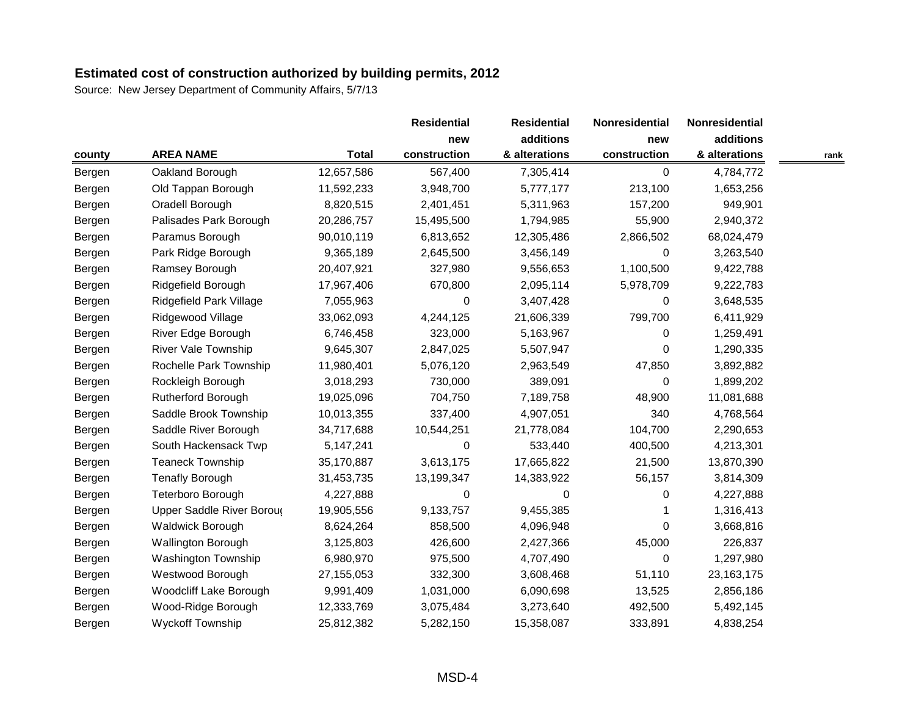|        |                            |              | <b>Residential</b> | <b>Residential</b> | Nonresidential<br>new | Nonresidential |      |
|--------|----------------------------|--------------|--------------------|--------------------|-----------------------|----------------|------|
|        |                            |              | new                | additions          |                       | additions      |      |
| county | <b>AREA NAME</b>           | <b>Total</b> | construction       | & alterations      | construction          | & alterations  | rank |
| Bergen | Oakland Borough            | 12,657,586   | 567,400            | 7,305,414          | 0                     | 4,784,772      |      |
| Bergen | Old Tappan Borough         | 11,592,233   | 3,948,700          | 5,777,177          | 213,100               | 1,653,256      |      |
| Bergen | Oradell Borough            | 8,820,515    | 2,401,451          | 5,311,963          | 157,200               | 949,901        |      |
| Bergen | Palisades Park Borough     | 20,286,757   | 15,495,500         | 1,794,985          | 55,900                | 2,940,372      |      |
| Bergen | Paramus Borough            | 90,010,119   | 6,813,652          | 12,305,486         | 2,866,502             | 68,024,479     |      |
| Bergen | Park Ridge Borough         | 9,365,189    | 2,645,500          | 3,456,149          | 0                     | 3,263,540      |      |
| Bergen | Ramsey Borough             | 20,407,921   | 327,980            | 9,556,653          | 1,100,500             | 9,422,788      |      |
| Bergen | Ridgefield Borough         | 17,967,406   | 670,800            | 2,095,114          | 5,978,709             | 9,222,783      |      |
| Bergen | Ridgefield Park Village    | 7,055,963    | 0                  | 3,407,428          | 0                     | 3,648,535      |      |
| Bergen | Ridgewood Village          | 33,062,093   | 4,244,125          | 21,606,339         | 799,700               | 6,411,929      |      |
| Bergen | River Edge Borough         | 6,746,458    | 323,000            | 5,163,967          | $\Omega$              | 1,259,491      |      |
| Bergen | <b>River Vale Township</b> | 9,645,307    | 2,847,025          | 5,507,947          | 0                     | 1,290,335      |      |
| Bergen | Rochelle Park Township     | 11,980,401   | 5,076,120          | 2,963,549          | 47,850                | 3,892,882      |      |
| Bergen | Rockleigh Borough          | 3,018,293    | 730,000            | 389,091            | 0                     | 1,899,202      |      |
| Bergen | Rutherford Borough         | 19,025,096   | 704,750            | 7,189,758          | 48,900                | 11,081,688     |      |
| Bergen | Saddle Brook Township      | 10,013,355   | 337,400            | 4,907,051          | 340                   | 4,768,564      |      |
| Bergen | Saddle River Borough       | 34,717,688   | 10,544,251         | 21,778,084         | 104,700               | 2,290,653      |      |
| Bergen | South Hackensack Twp       | 5,147,241    | 0                  | 533,440            | 400,500               | 4,213,301      |      |
| Bergen | <b>Teaneck Township</b>    | 35,170,887   | 3,613,175          | 17,665,822         | 21,500                | 13,870,390     |      |
| Bergen | <b>Tenafly Borough</b>     | 31,453,735   | 13,199,347         | 14,383,922         | 56,157                | 3,814,309      |      |
| Bergen | Teterboro Borough          | 4,227,888    | 0                  | 0                  | 0                     | 4,227,888      |      |
| Bergen | Upper Saddle River Boroug  | 19,905,556   | 9,133,757          | 9,455,385          |                       | 1,316,413      |      |
| Bergen | <b>Waldwick Borough</b>    | 8,624,264    | 858,500            | 4,096,948          | $\Omega$              | 3,668,816      |      |
| Bergen | <b>Wallington Borough</b>  | 3,125,803    | 426,600            | 2,427,366          | 45,000                | 226,837        |      |
| Bergen | <b>Washington Township</b> | 6,980,970    | 975,500            | 4,707,490          | 0                     | 1,297,980      |      |
| Bergen | Westwood Borough           | 27,155,053   | 332,300            | 3,608,468          | 51,110                | 23, 163, 175   |      |
| Bergen | Woodcliff Lake Borough     | 9,991,409    | 1,031,000          | 6,090,698          | 13,525                | 2,856,186      |      |
| Bergen | Wood-Ridge Borough         | 12,333,769   | 3,075,484          | 3,273,640          | 492,500               | 5,492,145      |      |
| Bergen | <b>Wyckoff Township</b>    | 25,812,382   | 5,282,150          | 15,358,087         | 333,891               | 4,838,254      |      |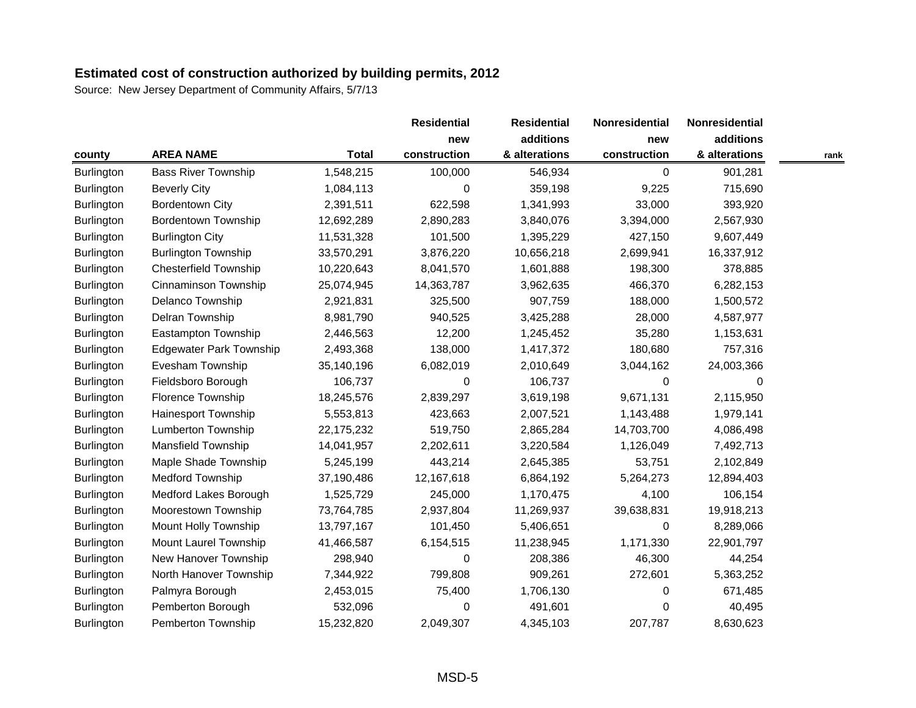|                   |                                |              | <b>Residential</b> | <b>Residential</b> | Nonresidential | Nonresidential |      |
|-------------------|--------------------------------|--------------|--------------------|--------------------|----------------|----------------|------|
|                   |                                |              | new                | additions          | new            | additions      |      |
| county            | <b>AREA NAME</b>               | <b>Total</b> | construction       | & alterations      | construction   | & alterations  | rank |
| <b>Burlington</b> | <b>Bass River Township</b>     | 1,548,215    | 100,000            | 546,934            | 0              | 901,281        |      |
| Burlington        | <b>Beverly City</b>            | 1,084,113    | 0                  | 359,198            | 9,225          | 715,690        |      |
| Burlington        | <b>Bordentown City</b>         | 2,391,511    | 622,598            | 1,341,993          | 33,000         | 393,920        |      |
| Burlington        | <b>Bordentown Township</b>     | 12,692,289   | 2,890,283          | 3,840,076          | 3,394,000      | 2,567,930      |      |
| <b>Burlington</b> | <b>Burlington City</b>         | 11,531,328   | 101,500            | 1,395,229          | 427,150        | 9,607,449      |      |
| Burlington        | <b>Burlington Township</b>     | 33,570,291   | 3,876,220          | 10,656,218         | 2,699,941      | 16,337,912     |      |
| Burlington        | <b>Chesterfield Township</b>   | 10,220,643   | 8,041,570          | 1,601,888          | 198,300        | 378,885        |      |
| Burlington        | Cinnaminson Township           | 25,074,945   | 14,363,787         | 3,962,635          | 466,370        | 6,282,153      |      |
| <b>Burlington</b> | Delanco Township               | 2,921,831    | 325,500            | 907,759            | 188,000        | 1,500,572      |      |
| <b>Burlington</b> | Delran Township                | 8,981,790    | 940,525            | 3,425,288          | 28,000         | 4,587,977      |      |
| <b>Burlington</b> | Eastampton Township            | 2,446,563    | 12,200             | 1,245,452          | 35,280         | 1,153,631      |      |
| Burlington        | <b>Edgewater Park Township</b> | 2,493,368    | 138,000            | 1,417,372          | 180,680        | 757,316        |      |
| <b>Burlington</b> | Evesham Township               | 35,140,196   | 6,082,019          | 2,010,649          | 3,044,162      | 24,003,366     |      |
| <b>Burlington</b> | Fieldsboro Borough             | 106,737      | 0                  | 106,737            | 0              | 0              |      |
| <b>Burlington</b> | Florence Township              | 18,245,576   | 2,839,297          | 3,619,198          | 9,671,131      | 2,115,950      |      |
| Burlington        | <b>Hainesport Township</b>     | 5,553,813    | 423,663            | 2,007,521          | 1,143,488      | 1,979,141      |      |
| <b>Burlington</b> | Lumberton Township             | 22,175,232   | 519,750            | 2,865,284          | 14,703,700     | 4,086,498      |      |
| <b>Burlington</b> | <b>Mansfield Township</b>      | 14,041,957   | 2,202,611          | 3,220,584          | 1,126,049      | 7,492,713      |      |
| <b>Burlington</b> | Maple Shade Township           | 5,245,199    | 443,214            | 2,645,385          | 53,751         | 2,102,849      |      |
| Burlington        | Medford Township               | 37,190,486   | 12,167,618         | 6,864,192          | 5,264,273      | 12,894,403     |      |
| <b>Burlington</b> | Medford Lakes Borough          | 1,525,729    | 245,000            | 1,170,475          | 4,100          | 106,154        |      |
| <b>Burlington</b> | Moorestown Township            | 73,764,785   | 2,937,804          | 11,269,937         | 39,638,831     | 19,918,213     |      |
| Burlington        | Mount Holly Township           | 13,797,167   | 101,450            | 5,406,651          | 0              | 8,289,066      |      |
| <b>Burlington</b> | Mount Laurel Township          | 41,466,587   | 6,154,515          | 11,238,945         | 1,171,330      | 22,901,797     |      |
| <b>Burlington</b> | New Hanover Township           | 298,940      | 0                  | 208,386            | 46,300         | 44,254         |      |
| <b>Burlington</b> | North Hanover Township         | 7,344,922    | 799,808            | 909,261            | 272,601        | 5,363,252      |      |
| Burlington        | Palmyra Borough                | 2,453,015    | 75,400             | 1,706,130          | 0              | 671,485        |      |
| Burlington        | Pemberton Borough              | 532,096      | 0                  | 491,601            | 0              | 40,495         |      |
| <b>Burlington</b> | Pemberton Township             | 15,232,820   | 2,049,307          | 4,345,103          | 207,787        | 8,630,623      |      |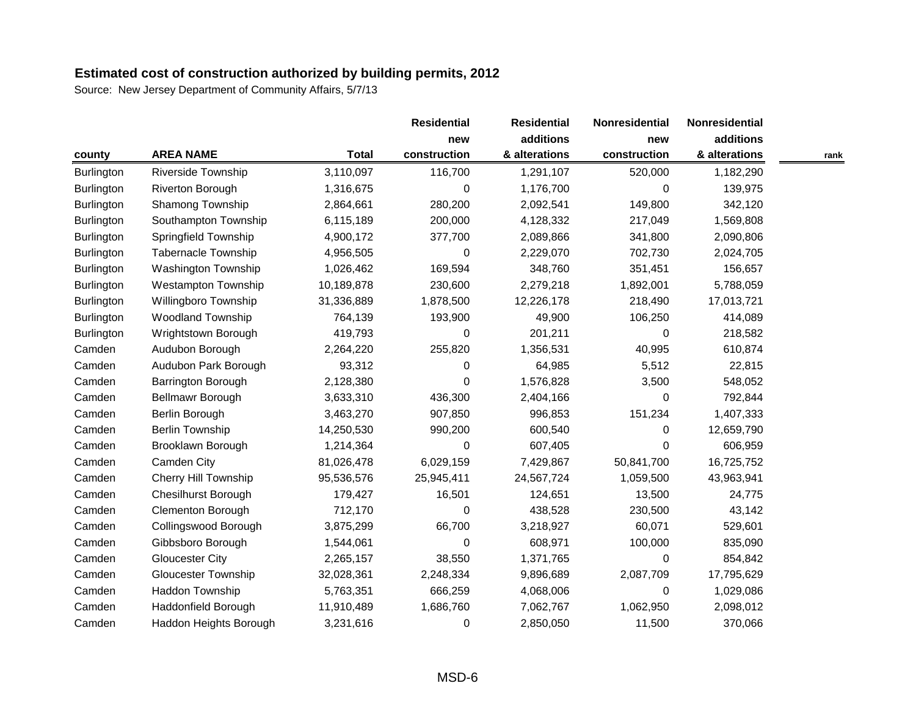|                   |                             |              | <b>Residential</b> | <b>Residential</b> | Nonresidential | Nonresidential |      |
|-------------------|-----------------------------|--------------|--------------------|--------------------|----------------|----------------|------|
|                   |                             |              | new                | additions          | new            | additions      |      |
| county            | <b>AREA NAME</b>            | <b>Total</b> | construction       | & alterations      | construction   | & alterations  | rank |
| <b>Burlington</b> | <b>Riverside Township</b>   | 3,110,097    | 116,700            | 1,291,107          | 520,000        | 1,182,290      |      |
| <b>Burlington</b> | Riverton Borough            | 1,316,675    | 0                  | 1,176,700          | 0              | 139,975        |      |
| <b>Burlington</b> | Shamong Township            | 2,864,661    | 280,200            | 2,092,541          | 149,800        | 342,120        |      |
| <b>Burlington</b> | Southampton Township        | 6,115,189    | 200,000            | 4,128,332          | 217,049        | 1,569,808      |      |
| Burlington        | Springfield Township        | 4,900,172    | 377,700            | 2,089,866          | 341,800        | 2,090,806      |      |
| Burlington        | <b>Tabernacle Township</b>  | 4,956,505    | 0                  | 2,229,070          | 702,730        | 2,024,705      |      |
| Burlington        | Washington Township         | 1,026,462    | 169,594            | 348,760            | 351,451        | 156,657        |      |
| Burlington        | <b>Westampton Township</b>  | 10,189,878   | 230,600            | 2,279,218          | 1,892,001      | 5,788,059      |      |
| Burlington        | Willingboro Township        | 31,336,889   | 1,878,500          | 12,226,178         | 218,490        | 17,013,721     |      |
| Burlington        | <b>Woodland Township</b>    | 764,139      | 193,900            | 49,900             | 106,250        | 414,089        |      |
| Burlington        | Wrightstown Borough         | 419,793      | 0                  | 201,211            | 0              | 218,582        |      |
| Camden            | Audubon Borough             | 2,264,220    | 255,820            | 1,356,531          | 40,995         | 610,874        |      |
| Camden            | Audubon Park Borough        | 93,312       | 0                  | 64,985             | 5,512          | 22,815         |      |
| Camden            | Barrington Borough          | 2,128,380    | 0                  | 1,576,828          | 3,500          | 548,052        |      |
| Camden            | Bellmawr Borough            | 3,633,310    | 436,300            | 2,404,166          | $\Omega$       | 792,844        |      |
| Camden            | Berlin Borough              | 3,463,270    | 907,850            | 996,853            | 151,234        | 1,407,333      |      |
| Camden            | <b>Berlin Township</b>      | 14,250,530   | 990,200            | 600,540            | 0              | 12,659,790     |      |
| Camden            | Brooklawn Borough           | 1,214,364    | 0                  | 607,405            | $\Omega$       | 606,959        |      |
| Camden            | Camden City                 | 81,026,478   | 6,029,159          | 7,429,867          | 50,841,700     | 16,725,752     |      |
| Camden            | <b>Cherry Hill Township</b> | 95,536,576   | 25,945,411         | 24,567,724         | 1,059,500      | 43,963,941     |      |
| Camden            | <b>Chesilhurst Borough</b>  | 179,427      | 16,501             | 124,651            | 13,500         | 24,775         |      |
| Camden            | <b>Clementon Borough</b>    | 712,170      | 0                  | 438,528            | 230,500        | 43,142         |      |
| Camden            | Collingswood Borough        | 3,875,299    | 66,700             | 3,218,927          | 60,071         | 529,601        |      |
| Camden            | Gibbsboro Borough           | 1,544,061    | 0                  | 608,971            | 100,000        | 835,090        |      |
| Camden            | <b>Gloucester City</b>      | 2,265,157    | 38,550             | 1,371,765          | 0              | 854,842        |      |
| Camden            | <b>Gloucester Township</b>  | 32,028,361   | 2,248,334          | 9,896,689          | 2,087,709      | 17,795,629     |      |
| Camden            | Haddon Township             | 5,763,351    | 666,259            | 4,068,006          | 0              | 1,029,086      |      |
| Camden            | Haddonfield Borough         | 11,910,489   | 1,686,760          | 7,062,767          | 1,062,950      | 2,098,012      |      |
| Camden            | Haddon Heights Borough      | 3,231,616    | 0                  | 2,850,050          | 11,500         | 370,066        |      |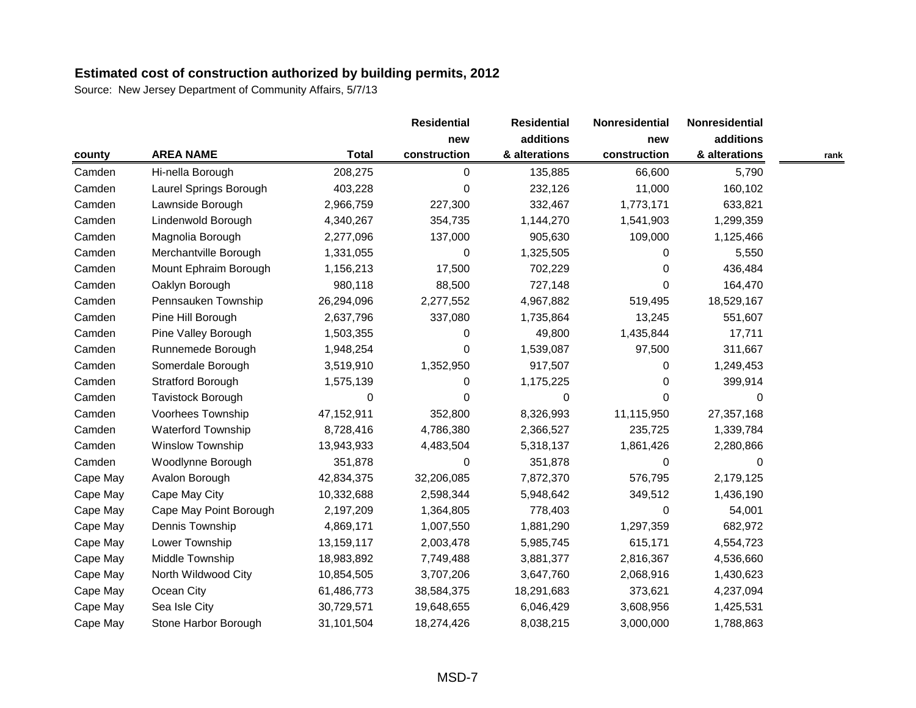|          |                          |              | <b>Residential</b> | <b>Residential</b> | Nonresidential | Nonresidential |      |
|----------|--------------------------|--------------|--------------------|--------------------|----------------|----------------|------|
|          |                          |              | new                | additions          | new            | additions      |      |
| county   | <b>AREA NAME</b>         | <b>Total</b> | construction       | & alterations      | construction   | & alterations  | rank |
| Camden   | Hi-nella Borough         | 208,275      | 0                  | 135,885            | 66,600         | 5,790          |      |
| Camden   | Laurel Springs Borough   | 403,228      | 0                  | 232,126            | 11,000         | 160,102        |      |
| Camden   | Lawnside Borough         | 2,966,759    | 227,300            | 332,467            | 1,773,171      | 633,821        |      |
| Camden   | Lindenwold Borough       | 4,340,267    | 354,735            | 1,144,270          | 1,541,903      | 1,299,359      |      |
| Camden   | Magnolia Borough         | 2,277,096    | 137,000            | 905,630            | 109,000        | 1,125,466      |      |
| Camden   | Merchantville Borough    | 1,331,055    | 0                  | 1,325,505          | 0              | 5,550          |      |
| Camden   | Mount Ephraim Borough    | 1,156,213    | 17,500             | 702,229            | $\Omega$       | 436,484        |      |
| Camden   | Oaklyn Borough           | 980,118      | 88,500             | 727,148            | $\Omega$       | 164,470        |      |
| Camden   | Pennsauken Township      | 26,294,096   | 2,277,552          | 4,967,882          | 519,495        | 18,529,167     |      |
| Camden   | Pine Hill Borough        | 2,637,796    | 337,080            | 1,735,864          | 13,245         | 551,607        |      |
| Camden   | Pine Valley Borough      | 1,503,355    | 0                  | 49,800             | 1,435,844      | 17,711         |      |
| Camden   | Runnemede Borough        | 1,948,254    | 0                  | 1,539,087          | 97,500         | 311,667        |      |
| Camden   | Somerdale Borough        | 3,519,910    | 1,352,950          | 917,507            | $\Omega$       | 1,249,453      |      |
| Camden   | <b>Stratford Borough</b> | 1,575,139    | 0                  | 1,175,225          | 0              | 399,914        |      |
| Camden   | Tavistock Borough        | 0            | 0                  | $\Omega$           | $\Omega$       | 0              |      |
| Camden   | Voorhees Township        | 47,152,911   | 352,800            | 8,326,993          | 11,115,950     | 27,357,168     |      |
| Camden   | Waterford Township       | 8,728,416    | 4,786,380          | 2,366,527          | 235,725        | 1,339,784      |      |
| Camden   | <b>Winslow Township</b>  | 13,943,933   | 4,483,504          | 5,318,137          | 1,861,426      | 2,280,866      |      |
| Camden   | Woodlynne Borough        | 351,878      | 0                  | 351,878            | $\Omega$       | 0              |      |
| Cape May | Avalon Borough           | 42,834,375   | 32,206,085         | 7,872,370          | 576,795        | 2,179,125      |      |
| Cape May | Cape May City            | 10,332,688   | 2,598,344          | 5,948,642          | 349,512        | 1,436,190      |      |
| Cape May | Cape May Point Borough   | 2,197,209    | 1,364,805          | 778,403            | 0              | 54,001         |      |
| Cape May | Dennis Township          | 4,869,171    | 1,007,550          | 1,881,290          | 1,297,359      | 682,972        |      |
| Cape May | Lower Township           | 13,159,117   | 2,003,478          | 5,985,745          | 615,171        | 4,554,723      |      |
| Cape May | Middle Township          | 18,983,892   | 7,749,488          | 3,881,377          | 2,816,367      | 4,536,660      |      |
| Cape May | North Wildwood City      | 10,854,505   | 3,707,206          | 3,647,760          | 2,068,916      | 1,430,623      |      |
| Cape May | Ocean City               | 61,486,773   | 38,584,375         | 18,291,683         | 373,621        | 4,237,094      |      |
| Cape May | Sea Isle City            | 30,729,571   | 19,648,655         | 6,046,429          | 3,608,956      | 1,425,531      |      |
| Cape May | Stone Harbor Borough     | 31,101,504   | 18,274,426         | 8,038,215          | 3,000,000      | 1,788,863      |      |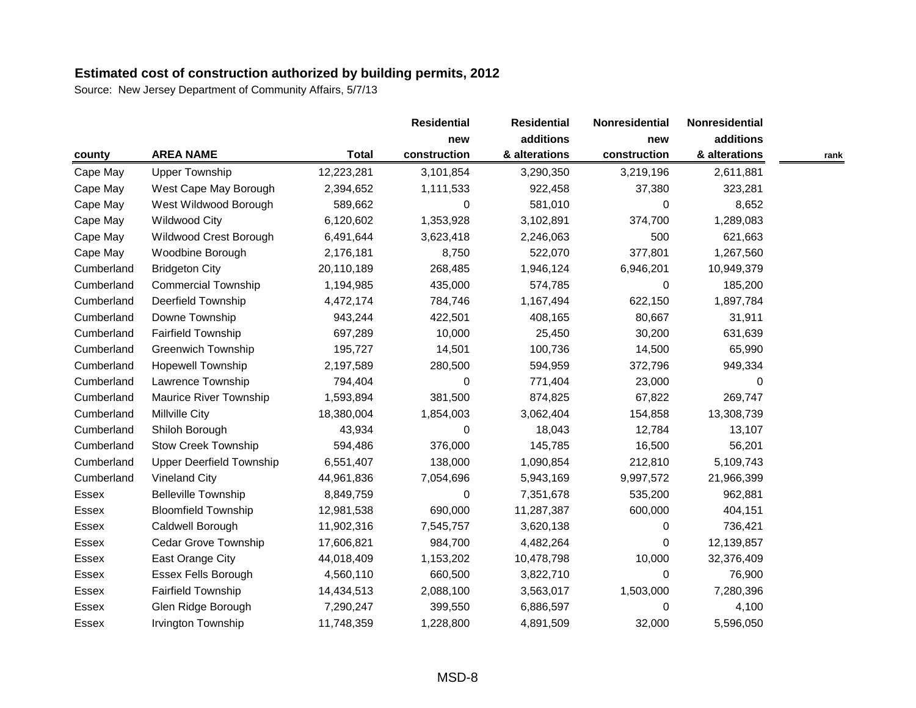|              |                                 |              | <b>Residential</b> | <b>Residential</b> | Nonresidential | Nonresidential |      |
|--------------|---------------------------------|--------------|--------------------|--------------------|----------------|----------------|------|
|              |                                 |              | new                | additions          | new            | additions      |      |
| county       | <b>AREA NAME</b>                | <b>Total</b> | construction       | & alterations      | construction   | & alterations  | rank |
| Cape May     | <b>Upper Township</b>           | 12,223,281   | 3,101,854          | 3,290,350          | 3,219,196      | 2,611,881      |      |
| Cape May     | West Cape May Borough           | 2,394,652    | 1,111,533          | 922,458            | 37,380         | 323,281        |      |
| Cape May     | West Wildwood Borough           | 589,662      | 0                  | 581,010            | $\Omega$       | 8,652          |      |
| Cape May     | Wildwood City                   | 6,120,602    | 1,353,928          | 3,102,891          | 374,700        | 1,289,083      |      |
| Cape May     | Wildwood Crest Borough          | 6,491,644    | 3,623,418          | 2,246,063          | 500            | 621,663        |      |
| Cape May     | Woodbine Borough                | 2,176,181    | 8,750              | 522,070            | 377,801        | 1,267,560      |      |
| Cumberland   | <b>Bridgeton City</b>           | 20,110,189   | 268,485            | 1,946,124          | 6,946,201      | 10,949,379     |      |
| Cumberland   | <b>Commercial Township</b>      | 1,194,985    | 435,000            | 574,785            | 0              | 185,200        |      |
| Cumberland   | <b>Deerfield Township</b>       | 4,472,174    | 784,746            | 1,167,494          | 622,150        | 1,897,784      |      |
| Cumberland   | Downe Township                  | 943,244      | 422,501            | 408,165            | 80,667         | 31,911         |      |
| Cumberland   | <b>Fairfield Township</b>       | 697,289      | 10,000             | 25,450             | 30,200         | 631,639        |      |
| Cumberland   | <b>Greenwich Township</b>       | 195,727      | 14,501             | 100,736            | 14,500         | 65,990         |      |
| Cumberland   | <b>Hopewell Township</b>        | 2,197,589    | 280,500            | 594,959            | 372,796        | 949,334        |      |
| Cumberland   | Lawrence Township               | 794,404      | 0                  | 771,404            | 23,000         | 0              |      |
| Cumberland   | Maurice River Township          | 1,593,894    | 381,500            | 874,825            | 67,822         | 269,747        |      |
| Cumberland   | Millville City                  | 18,380,004   | 1,854,003          | 3,062,404          | 154,858        | 13,308,739     |      |
| Cumberland   | Shiloh Borough                  | 43,934       | 0                  | 18,043             | 12,784         | 13,107         |      |
| Cumberland   | <b>Stow Creek Township</b>      | 594,486      | 376,000            | 145,785            | 16,500         | 56,201         |      |
| Cumberland   | <b>Upper Deerfield Township</b> | 6,551,407    | 138,000            | 1,090,854          | 212,810        | 5,109,743      |      |
| Cumberland   | <b>Vineland City</b>            | 44,961,836   | 7,054,696          | 5,943,169          | 9,997,572      | 21,966,399     |      |
| Essex        | <b>Belleville Township</b>      | 8,849,759    | 0                  | 7,351,678          | 535,200        | 962,881        |      |
| Essex        | <b>Bloomfield Township</b>      | 12,981,538   | 690,000            | 11,287,387         | 600,000        | 404,151        |      |
| <b>Essex</b> | Caldwell Borough                | 11,902,316   | 7,545,757          | 3,620,138          | 0              | 736,421        |      |
| Essex        | <b>Cedar Grove Township</b>     | 17,606,821   | 984,700            | 4,482,264          | 0              | 12,139,857     |      |
| Essex        | East Orange City                | 44,018,409   | 1,153,202          | 10,478,798         | 10,000         | 32,376,409     |      |
| <b>Essex</b> | <b>Essex Fells Borough</b>      | 4,560,110    | 660,500            | 3,822,710          | $\Omega$       | 76,900         |      |
| Essex        | <b>Fairfield Township</b>       | 14,434,513   | 2,088,100          | 3,563,017          | 1,503,000      | 7,280,396      |      |
| <b>Essex</b> | Glen Ridge Borough              | 7,290,247    | 399,550            | 6,886,597          | 0              | 4,100          |      |
| <b>Essex</b> | Irvington Township              | 11,748,359   | 1,228,800          | 4,891,509          | 32,000         | 5,596,050      |      |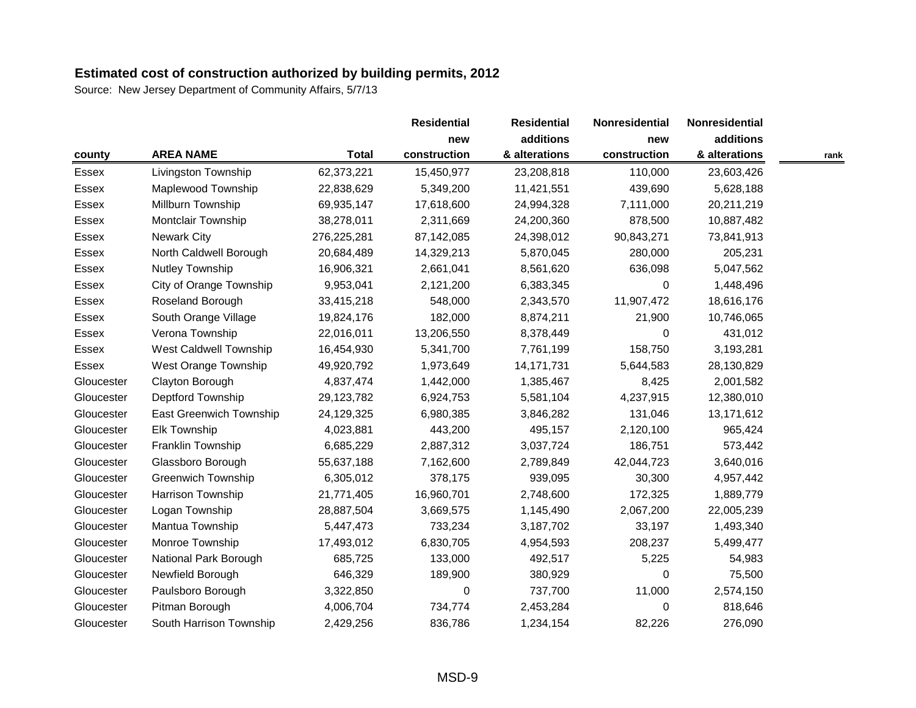|            |                           |              | <b>Residential</b> | <b>Residential</b> | Nonresidential<br>new | Nonresidential |      |
|------------|---------------------------|--------------|--------------------|--------------------|-----------------------|----------------|------|
|            |                           |              | new                | additions          |                       | additions      |      |
| county     | <b>AREA NAME</b>          | <b>Total</b> | construction       | & alterations      | construction          | & alterations  | rank |
| Essex      | Livingston Township       | 62,373,221   | 15,450,977         | 23,208,818         | 110,000               | 23,603,426     |      |
| Essex      | Maplewood Township        | 22,838,629   | 5,349,200          | 11,421,551         | 439,690               | 5,628,188      |      |
| Essex      | Millburn Township         | 69,935,147   | 17,618,600         | 24,994,328         | 7,111,000             | 20,211,219     |      |
| Essex      | Montclair Township        | 38,278,011   | 2,311,669          | 24,200,360         | 878,500               | 10,887,482     |      |
| Essex      | <b>Newark City</b>        | 276,225,281  | 87,142,085         | 24,398,012         | 90,843,271            | 73,841,913     |      |
| Essex      | North Caldwell Borough    | 20,684,489   | 14,329,213         | 5,870,045          | 280,000               | 205,231        |      |
| Essex      | Nutley Township           | 16,906,321   | 2,661,041          | 8,561,620          | 636,098               | 5,047,562      |      |
| Essex      | City of Orange Township   | 9,953,041    | 2,121,200          | 6,383,345          | $\Omega$              | 1,448,496      |      |
| Essex      | Roseland Borough          | 33,415,218   | 548,000            | 2,343,570          | 11,907,472            | 18,616,176     |      |
| Essex      | South Orange Village      | 19,824,176   | 182,000            | 8,874,211          | 21,900                | 10,746,065     |      |
| Essex      | Verona Township           | 22,016,011   | 13,206,550         | 8,378,449          | $\Omega$              | 431,012        |      |
| Essex      | West Caldwell Township    | 16,454,930   | 5,341,700          | 7,761,199          | 158,750               | 3,193,281      |      |
| Essex      | West Orange Township      | 49,920,792   | 1,973,649          | 14, 171, 731       | 5,644,583             | 28,130,829     |      |
| Gloucester | Clayton Borough           | 4,837,474    | 1,442,000          | 1,385,467          | 8,425                 | 2,001,582      |      |
| Gloucester | Deptford Township         | 29,123,782   | 6,924,753          | 5,581,104          | 4,237,915             | 12,380,010     |      |
| Gloucester | East Greenwich Township   | 24,129,325   | 6,980,385          | 3,846,282          | 131,046               | 13,171,612     |      |
| Gloucester | Elk Township              | 4,023,881    | 443,200            | 495,157            | 2,120,100             | 965,424        |      |
| Gloucester | Franklin Township         | 6,685,229    | 2,887,312          | 3,037,724          | 186,751               | 573,442        |      |
| Gloucester | Glassboro Borough         | 55,637,188   | 7,162,600          | 2,789,849          | 42,044,723            | 3,640,016      |      |
| Gloucester | <b>Greenwich Township</b> | 6,305,012    | 378,175            | 939,095            | 30,300                | 4,957,442      |      |
| Gloucester | Harrison Township         | 21,771,405   | 16,960,701         | 2,748,600          | 172,325               | 1,889,779      |      |
| Gloucester | Logan Township            | 28,887,504   | 3,669,575          | 1,145,490          | 2,067,200             | 22,005,239     |      |
| Gloucester | Mantua Township           | 5,447,473    | 733,234            | 3,187,702          | 33,197                | 1,493,340      |      |
| Gloucester | Monroe Township           | 17,493,012   | 6,830,705          | 4,954,593          | 208,237               | 5,499,477      |      |
| Gloucester | National Park Borough     | 685,725      | 133,000            | 492,517            | 5,225                 | 54,983         |      |
| Gloucester | Newfield Borough          | 646,329      | 189,900            | 380,929            | $\Omega$              | 75,500         |      |
| Gloucester | Paulsboro Borough         | 3,322,850    | 0                  | 737,700            | 11,000                | 2,574,150      |      |
| Gloucester | Pitman Borough            | 4,006,704    | 734,774            | 2,453,284          | 0                     | 818,646        |      |
| Gloucester | South Harrison Township   | 2,429,256    | 836,786            | 1,234,154          | 82,226                | 276,090        |      |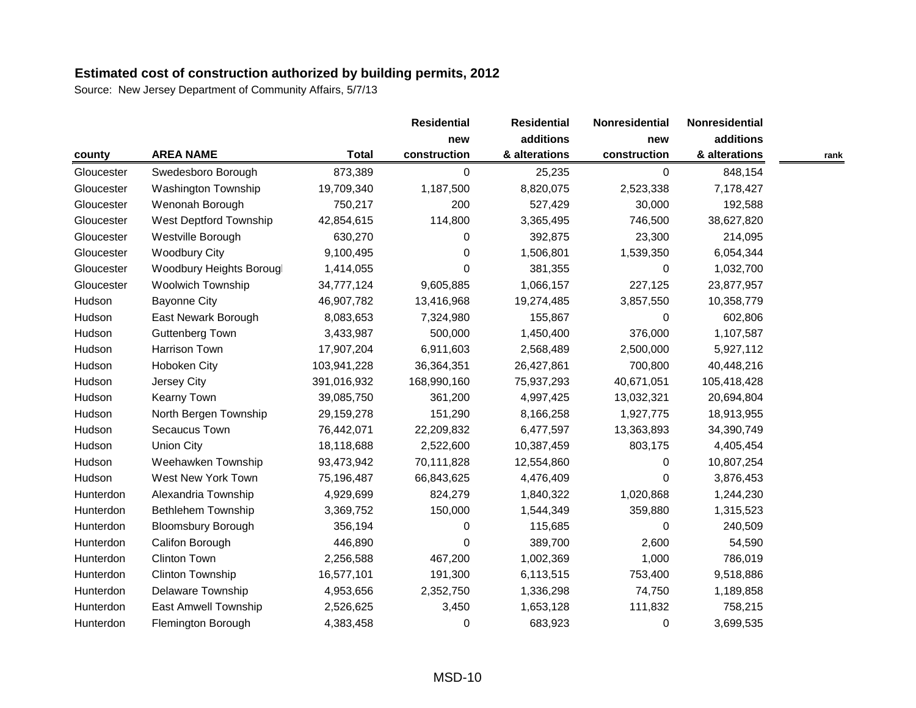|            |                           |              | <b>Residential</b> | <b>Residential</b> | Nonresidential | <b>Nonresidential</b> |      |
|------------|---------------------------|--------------|--------------------|--------------------|----------------|-----------------------|------|
|            |                           |              | new                | additions          | new            | additions             |      |
| county     | <b>AREA NAME</b>          | <b>Total</b> | construction       | & alterations      | construction   | & alterations         | rank |
| Gloucester | Swedesboro Borough        | 873,389      | 0                  | 25,235             | 0              | 848,154               |      |
| Gloucester | Washington Township       | 19,709,340   | 1,187,500          | 8,820,075          | 2,523,338      | 7,178,427             |      |
| Gloucester | Wenonah Borough           | 750,217      | 200                | 527,429            | 30,000         | 192,588               |      |
| Gloucester | West Deptford Township    | 42,854,615   | 114,800            | 3,365,495          | 746,500        | 38,627,820            |      |
| Gloucester | Westville Borough         | 630,270      | 0                  | 392,875            | 23,300         | 214,095               |      |
| Gloucester | <b>Woodbury City</b>      | 9,100,495    | 0                  | 1,506,801          | 1,539,350      | 6,054,344             |      |
| Gloucester | Woodbury Heights Borougl  | 1,414,055    | 0                  | 381,355            | 0              | 1,032,700             |      |
| Gloucester | <b>Woolwich Township</b>  | 34,777,124   | 9,605,885          | 1,066,157          | 227,125        | 23,877,957            |      |
| Hudson     | <b>Bayonne City</b>       | 46,907,782   | 13,416,968         | 19,274,485         | 3,857,550      | 10,358,779            |      |
| Hudson     | East Newark Borough       | 8,083,653    | 7,324,980          | 155,867            | $\Omega$       | 602,806               |      |
| Hudson     | <b>Guttenberg Town</b>    | 3,433,987    | 500,000            | 1,450,400          | 376,000        | 1,107,587             |      |
| Hudson     | Harrison Town             | 17,907,204   | 6,911,603          | 2,568,489          | 2,500,000      | 5,927,112             |      |
| Hudson     | Hoboken City              | 103,941,228  | 36,364,351         | 26,427,861         | 700,800        | 40,448,216            |      |
| Hudson     | Jersey City               | 391,016,932  | 168,990,160        | 75,937,293         | 40,671,051     | 105,418,428           |      |
| Hudson     | <b>Kearny Town</b>        | 39,085,750   | 361,200            | 4,997,425          | 13,032,321     | 20,694,804            |      |
| Hudson     | North Bergen Township     | 29,159,278   | 151,290            | 8,166,258          | 1,927,775      | 18,913,955            |      |
| Hudson     | Secaucus Town             | 76,442,071   | 22,209,832         | 6,477,597          | 13,363,893     | 34,390,749            |      |
| Hudson     | <b>Union City</b>         | 18,118,688   | 2,522,600          | 10,387,459         | 803,175        | 4,405,454             |      |
| Hudson     | Weehawken Township        | 93,473,942   | 70,111,828         | 12,554,860         | $\Omega$       | 10,807,254            |      |
| Hudson     | West New York Town        | 75,196,487   | 66,843,625         | 4,476,409          | $\Omega$       | 3,876,453             |      |
| Hunterdon  | Alexandria Township       | 4,929,699    | 824,279            | 1,840,322          | 1,020,868      | 1,244,230             |      |
| Hunterdon  | <b>Bethlehem Township</b> | 3,369,752    | 150,000            | 1,544,349          | 359,880        | 1,315,523             |      |
| Hunterdon  | <b>Bloomsbury Borough</b> | 356,194      | 0                  | 115,685            | $\pmb{0}$      | 240,509               |      |
| Hunterdon  | Califon Borough           | 446,890      | 0                  | 389,700            | 2,600          | 54,590                |      |
| Hunterdon  | <b>Clinton Town</b>       | 2,256,588    | 467,200            | 1,002,369          | 1,000          | 786,019               |      |
| Hunterdon  | Clinton Township          | 16,577,101   | 191,300            | 6,113,515          | 753,400        | 9,518,886             |      |
| Hunterdon  | Delaware Township         | 4,953,656    | 2,352,750          | 1,336,298          | 74,750         | 1,189,858             |      |
| Hunterdon  | East Amwell Township      | 2,526,625    | 3,450              | 1,653,128          | 111,832        | 758,215               |      |
| Hunterdon  | Flemington Borough        | 4,383,458    | 0                  | 683,923            | 0              | 3,699,535             |      |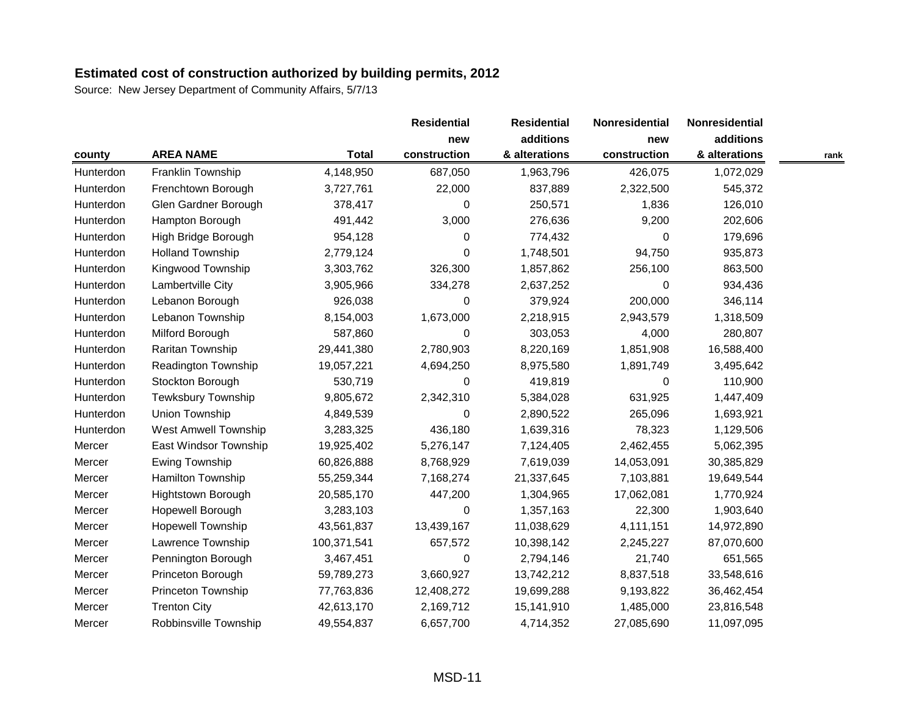|           |                             |              | <b>Residential</b> | <b>Residential</b> | Nonresidential | Nonresidential |      |
|-----------|-----------------------------|--------------|--------------------|--------------------|----------------|----------------|------|
|           |                             |              | new                | additions          | new            | additions      |      |
| county    | <b>AREA NAME</b>            | <b>Total</b> | construction       | & alterations      | construction   | & alterations  | rank |
| Hunterdon | Franklin Township           | 4,148,950    | 687,050            | 1,963,796          | 426,075        | 1,072,029      |      |
| Hunterdon | Frenchtown Borough          | 3,727,761    | 22,000             | 837,889            | 2,322,500      | 545,372        |      |
| Hunterdon | Glen Gardner Borough        | 378,417      | 0                  | 250,571            | 1,836          | 126,010        |      |
| Hunterdon | Hampton Borough             | 491,442      | 3,000              | 276,636            | 9,200          | 202,606        |      |
| Hunterdon | High Bridge Borough         | 954,128      | 0                  | 774,432            | 0              | 179,696        |      |
| Hunterdon | <b>Holland Township</b>     | 2,779,124    | 0                  | 1,748,501          | 94,750         | 935,873        |      |
| Hunterdon | Kingwood Township           | 3,303,762    | 326,300            | 1,857,862          | 256,100        | 863,500        |      |
| Hunterdon | Lambertville City           | 3,905,966    | 334,278            | 2,637,252          | $\Omega$       | 934,436        |      |
| Hunterdon | Lebanon Borough             | 926,038      | 0                  | 379,924            | 200,000        | 346,114        |      |
| Hunterdon | Lebanon Township            | 8,154,003    | 1,673,000          | 2,218,915          | 2,943,579      | 1,318,509      |      |
| Hunterdon | Milford Borough             | 587,860      | 0                  | 303,053            | 4,000          | 280,807        |      |
| Hunterdon | Raritan Township            | 29,441,380   | 2,780,903          | 8,220,169          | 1,851,908      | 16,588,400     |      |
| Hunterdon | Readington Township         | 19,057,221   | 4,694,250          | 8,975,580          | 1,891,749      | 3,495,642      |      |
| Hunterdon | Stockton Borough            | 530,719      | 0                  | 419,819            | $\Omega$       | 110,900        |      |
| Hunterdon | <b>Tewksbury Township</b>   | 9,805,672    | 2,342,310          | 5,384,028          | 631,925        | 1,447,409      |      |
| Hunterdon | Union Township              | 4,849,539    | 0                  | 2,890,522          | 265,096        | 1,693,921      |      |
| Hunterdon | <b>West Amwell Township</b> | 3,283,325    | 436,180            | 1,639,316          | 78,323         | 1,129,506      |      |
| Mercer    | East Windsor Township       | 19,925,402   | 5,276,147          | 7,124,405          | 2,462,455      | 5,062,395      |      |
| Mercer    | Ewing Township              | 60,826,888   | 8,768,929          | 7,619,039          | 14,053,091     | 30,385,829     |      |
| Mercer    | Hamilton Township           | 55,259,344   | 7,168,274          | 21,337,645         | 7,103,881      | 19,649,544     |      |
| Mercer    | Hightstown Borough          | 20,585,170   | 447,200            | 1,304,965          | 17,062,081     | 1,770,924      |      |
| Mercer    | Hopewell Borough            | 3,283,103    | 0                  | 1,357,163          | 22,300         | 1,903,640      |      |
| Mercer    | <b>Hopewell Township</b>    | 43,561,837   | 13,439,167         | 11,038,629         | 4,111,151      | 14,972,890     |      |
| Mercer    | Lawrence Township           | 100,371,541  | 657,572            | 10,398,142         | 2,245,227      | 87,070,600     |      |
| Mercer    | Pennington Borough          | 3,467,451    | 0                  | 2,794,146          | 21,740         | 651,565        |      |
| Mercer    | Princeton Borough           | 59,789,273   | 3,660,927          | 13,742,212         | 8,837,518      | 33,548,616     |      |
| Mercer    | Princeton Township          | 77,763,836   | 12,408,272         | 19,699,288         | 9,193,822      | 36,462,454     |      |
| Mercer    | <b>Trenton City</b>         | 42,613,170   | 2,169,712          | 15,141,910         | 1,485,000      | 23,816,548     |      |
| Mercer    | Robbinsville Township       | 49,554,837   | 6,657,700          | 4,714,352          | 27,085,690     | 11,097,095     |      |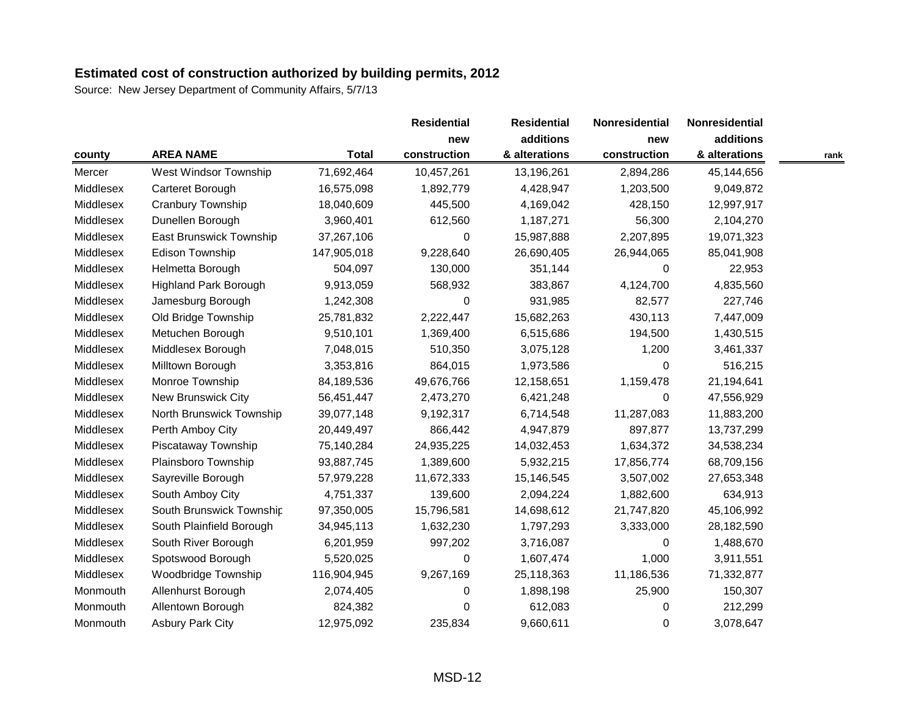Source: New Jersey Department of Community Affairs, 5/7/13

|           |                              |              | <b>Residential</b> | <b>Residential</b> | Nonresidential | Nonresidential |      |
|-----------|------------------------------|--------------|--------------------|--------------------|----------------|----------------|------|
|           |                              |              | new                | additions          | new            | additions      |      |
| county    | <b>AREA NAME</b>             | <b>Total</b> | construction       | & alterations      | construction   | & alterations  | rank |
| Mercer    | West Windsor Township        | 71,692,464   | 10,457,261         | 13,196,261         | 2,894,286      | 45,144,656     |      |
| Middlesex | Carteret Borough             | 16,575,098   | 1,892,779          | 4,428,947          | 1,203,500      | 9,049,872      |      |
| Middlesex | Cranbury Township            | 18,040,609   | 445,500            | 4,169,042          | 428,150        | 12,997,917     |      |
| Middlesex | Dunellen Borough             | 3,960,401    | 612,560            | 1,187,271          | 56,300         | 2,104,270      |      |
| Middlesex | East Brunswick Township      | 37,267,106   | 0                  | 15,987,888         | 2,207,895      | 19,071,323     |      |
| Middlesex | <b>Edison Township</b>       | 147,905,018  | 9,228,640          | 26,690,405         | 26,944,065     | 85,041,908     |      |
| Middlesex | Helmetta Borough             | 504,097      | 130,000            | 351,144            | 0              | 22,953         |      |
| Middlesex | <b>Highland Park Borough</b> | 9,913,059    | 568,932            | 383,867            | 4,124,700      | 4,835,560      |      |
| Middlesex | Jamesburg Borough            | 1,242,308    | $\pmb{0}$          | 931,985            | 82,577         | 227,746        |      |
| Middlesex | Old Bridge Township          | 25,781,832   | 2,222,447          | 15,682,263         | 430,113        | 7,447,009      |      |
| Middlesex | Metuchen Borough             | 9,510,101    | 1,369,400          | 6,515,686          | 194,500        | 1,430,515      |      |
| Middlesex | Middlesex Borough            | 7,048,015    | 510,350            | 3,075,128          | 1,200          | 3,461,337      |      |
| Middlesex | Milltown Borough             | 3,353,816    | 864,015            | 1,973,586          | $\Omega$       | 516,215        |      |
| Middlesex | Monroe Township              | 84,189,536   | 49,676,766         | 12,158,651         | 1,159,478      | 21,194,641     |      |
| Middlesex | New Brunswick City           | 56,451,447   | 2,473,270          | 6,421,248          | $\Omega$       | 47,556,929     |      |
| Middlesex | North Brunswick Township     | 39,077,148   | 9,192,317          | 6,714,548          | 11,287,083     | 11,883,200     |      |
| Middlesex | Perth Amboy City             | 20,449,497   | 866,442            | 4,947,879          | 897,877        | 13,737,299     |      |
| Middlesex | Piscataway Township          | 75,140,284   | 24,935,225         | 14,032,453         | 1,634,372      | 34,538,234     |      |
| Middlesex | Plainsboro Township          | 93,887,745   | 1,389,600          | 5,932,215          | 17,856,774     | 68,709,156     |      |
| Middlesex | Sayreville Borough           | 57,979,228   | 11,672,333         | 15,146,545         | 3,507,002      | 27,653,348     |      |
| Middlesex | South Amboy City             | 4,751,337    | 139,600            | 2,094,224          | 1,882,600      | 634,913        |      |
| Middlesex | South Brunswick Township     | 97,350,005   | 15,796,581         | 14,698,612         | 21,747,820     | 45,106,992     |      |
| Middlesex | South Plainfield Borough     | 34,945,113   | 1,632,230          | 1,797,293          | 3,333,000      | 28,182,590     |      |
| Middlesex | South River Borough          | 6,201,959    | 997,202            | 3,716,087          | 0              | 1,488,670      |      |
| Middlesex | Spotswood Borough            | 5,520,025    | 0                  | 1,607,474          | 1,000          | 3,911,551      |      |
| Middlesex | Woodbridge Township          | 116,904,945  | 9,267,169          | 25,118,363         | 11,186,536     | 71,332,877     |      |
| Monmouth  | Allenhurst Borough           | 2,074,405    | 0                  | 1,898,198          | 25,900         | 150,307        |      |
| Monmouth  | Allentown Borough            | 824,382      | 0                  | 612,083            | 0              | 212,299        |      |
| Monmouth  | <b>Asbury Park City</b>      | 12,975,092   | 235,834            | 9,660,611          | $\Omega$       | 3,078,647      |      |

MSD-12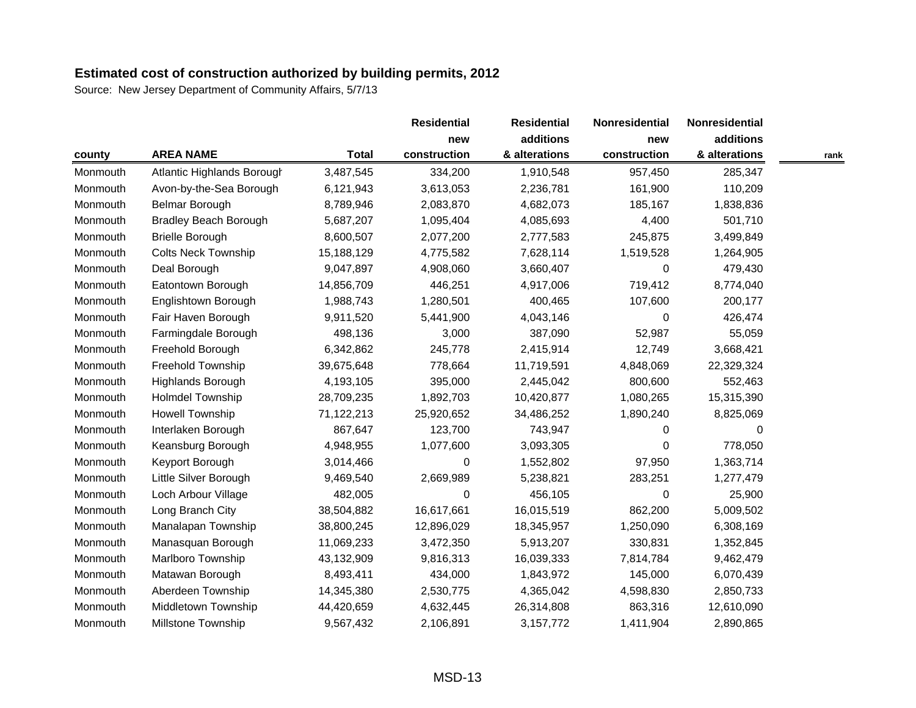|          |                              |              | <b>Residential</b> | <b>Residential</b> | Nonresidential | Nonresidential |      |
|----------|------------------------------|--------------|--------------------|--------------------|----------------|----------------|------|
|          |                              |              | new                | additions          | new            | additions      |      |
| county   | <b>AREA NAME</b>             | <b>Total</b> | construction       | & alterations      | construction   | & alterations  | rank |
| Monmouth | Atlantic Highlands Borough   | 3,487,545    | 334,200            | 1,910,548          | 957,450        | 285,347        |      |
| Monmouth | Avon-by-the-Sea Borough      | 6,121,943    | 3,613,053          | 2,236,781          | 161,900        | 110,209        |      |
| Monmouth | Belmar Borough               | 8,789,946    | 2,083,870          | 4,682,073          | 185,167        | 1,838,836      |      |
| Monmouth | <b>Bradley Beach Borough</b> | 5,687,207    | 1,095,404          | 4,085,693          | 4,400          | 501,710        |      |
| Monmouth | <b>Brielle Borough</b>       | 8,600,507    | 2,077,200          | 2,777,583          | 245,875        | 3,499,849      |      |
| Monmouth | <b>Colts Neck Township</b>   | 15,188,129   | 4,775,582          | 7,628,114          | 1,519,528      | 1,264,905      |      |
| Monmouth | Deal Borough                 | 9,047,897    | 4,908,060          | 3,660,407          | 0              | 479,430        |      |
| Monmouth | Eatontown Borough            | 14,856,709   | 446,251            | 4,917,006          | 719,412        | 8,774,040      |      |
| Monmouth | Englishtown Borough          | 1,988,743    | 1,280,501          | 400,465            | 107,600        | 200,177        |      |
| Monmouth | Fair Haven Borough           | 9,911,520    | 5,441,900          | 4,043,146          | $\Omega$       | 426,474        |      |
| Monmouth | Farmingdale Borough          | 498,136      | 3,000              | 387,090            | 52,987         | 55,059         |      |
| Monmouth | Freehold Borough             | 6,342,862    | 245,778            | 2,415,914          | 12,749         | 3,668,421      |      |
| Monmouth | Freehold Township            | 39,675,648   | 778,664            | 11,719,591         | 4,848,069      | 22,329,324     |      |
| Monmouth | Highlands Borough            | 4,193,105    | 395,000            | 2,445,042          | 800,600        | 552,463        |      |
| Monmouth | Holmdel Township             | 28,709,235   | 1,892,703          | 10,420,877         | 1,080,265      | 15,315,390     |      |
| Monmouth | Howell Township              | 71,122,213   | 25,920,652         | 34,486,252         | 1,890,240      | 8,825,069      |      |
| Monmouth | Interlaken Borough           | 867,647      | 123,700            | 743,947            | 0              | 0              |      |
| Monmouth | Keansburg Borough            | 4,948,955    | 1,077,600          | 3,093,305          | $\Omega$       | 778,050        |      |
| Monmouth | Keyport Borough              | 3,014,466    | 0                  | 1,552,802          | 97,950         | 1,363,714      |      |
| Monmouth | Little Silver Borough        | 9,469,540    | 2,669,989          | 5,238,821          | 283,251        | 1,277,479      |      |
| Monmouth | Loch Arbour Village          | 482,005      | 0                  | 456,105            | $\Omega$       | 25,900         |      |
| Monmouth | Long Branch City             | 38,504,882   | 16,617,661         | 16,015,519         | 862,200        | 5,009,502      |      |
| Monmouth | Manalapan Township           | 38,800,245   | 12,896,029         | 18,345,957         | 1,250,090      | 6,308,169      |      |
| Monmouth | Manasquan Borough            | 11,069,233   | 3,472,350          | 5,913,207          | 330,831        | 1,352,845      |      |
| Monmouth | Marlboro Township            | 43,132,909   | 9,816,313          | 16,039,333         | 7,814,784      | 9,462,479      |      |
| Monmouth | Matawan Borough              | 8,493,411    | 434,000            | 1,843,972          | 145,000        | 6,070,439      |      |
| Monmouth | Aberdeen Township            | 14,345,380   | 2,530,775          | 4,365,042          | 4,598,830      | 2,850,733      |      |
| Monmouth | Middletown Township          | 44,420,659   | 4,632,445          | 26,314,808         | 863,316        | 12,610,090     |      |
| Monmouth | <b>Millstone Township</b>    | 9,567,432    | 2,106,891          | 3,157,772          | 1,411,904      | 2,890,865      |      |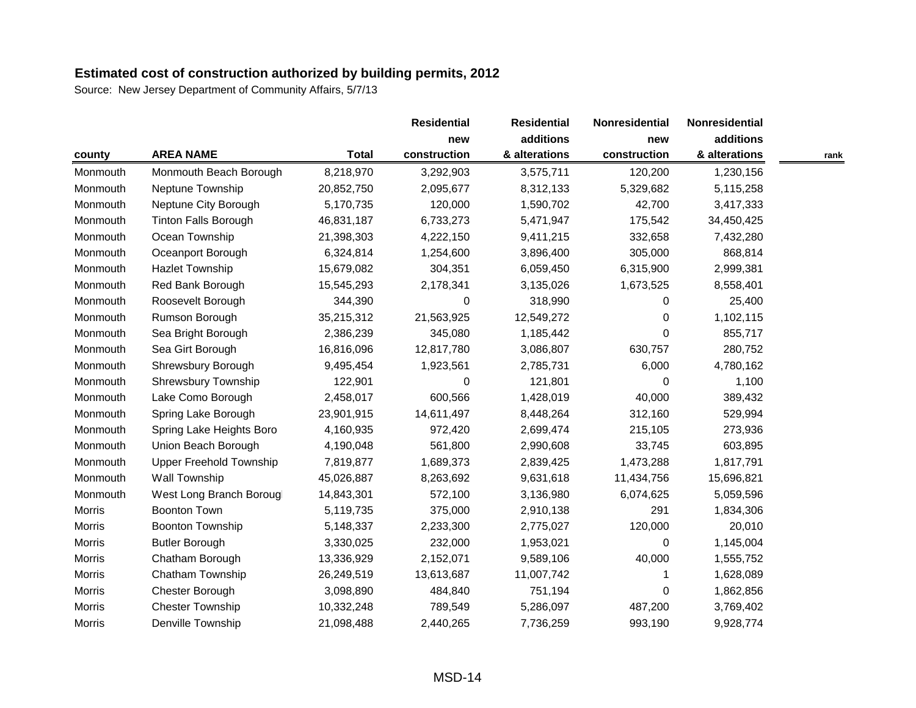|               |                                |              | <b>Residential</b> | <b>Residential</b> | Nonresidential | Nonresidential |      |
|---------------|--------------------------------|--------------|--------------------|--------------------|----------------|----------------|------|
|               |                                |              | new                | additions          | new            | additions      |      |
| county        | <b>AREA NAME</b>               | <b>Total</b> | construction       | & alterations      | construction   | & alterations  | rank |
| Monmouth      | Monmouth Beach Borough         | 8,218,970    | 3,292,903          | 3,575,711          | 120,200        | 1,230,156      |      |
| Monmouth      | Neptune Township               | 20,852,750   | 2,095,677          | 8,312,133          | 5,329,682      | 5,115,258      |      |
| Monmouth      | Neptune City Borough           | 5,170,735    | 120,000            | 1,590,702          | 42,700         | 3,417,333      |      |
| Monmouth      | <b>Tinton Falls Borough</b>    | 46,831,187   | 6,733,273          | 5,471,947          | 175,542        | 34,450,425     |      |
| Monmouth      | Ocean Township                 | 21,398,303   | 4,222,150          | 9,411,215          | 332,658        | 7,432,280      |      |
| Monmouth      | Oceanport Borough              | 6,324,814    | 1,254,600          | 3,896,400          | 305,000        | 868,814        |      |
| Monmouth      | <b>Hazlet Township</b>         | 15,679,082   | 304,351            | 6,059,450          | 6,315,900      | 2,999,381      |      |
| Monmouth      | Red Bank Borough               | 15,545,293   | 2,178,341          | 3,135,026          | 1,673,525      | 8,558,401      |      |
| Monmouth      | Roosevelt Borough              | 344,390      | $\boldsymbol{0}$   | 318,990            | 0              | 25,400         |      |
| Monmouth      | Rumson Borough                 | 35,215,312   | 21,563,925         | 12,549,272         | $\Omega$       | 1,102,115      |      |
| Monmouth      | Sea Bright Borough             | 2,386,239    | 345,080            | 1,185,442          | $\Omega$       | 855,717        |      |
| Monmouth      | Sea Girt Borough               | 16,816,096   | 12,817,780         | 3,086,807          | 630,757        | 280,752        |      |
| Monmouth      | Shrewsbury Borough             | 9,495,454    | 1,923,561          | 2,785,731          | 6,000          | 4,780,162      |      |
| Monmouth      | <b>Shrewsbury Township</b>     | 122,901      | 0                  | 121,801            | $\Omega$       | 1,100          |      |
| Monmouth      | Lake Como Borough              | 2,458,017    | 600,566            | 1,428,019          | 40,000         | 389,432        |      |
| Monmouth      | Spring Lake Borough            | 23,901,915   | 14,611,497         | 8,448,264          | 312,160        | 529,994        |      |
| Monmouth      | Spring Lake Heights Boro       | 4,160,935    | 972,420            | 2,699,474          | 215,105        | 273,936        |      |
| Monmouth      | Union Beach Borough            | 4,190,048    | 561,800            | 2,990,608          | 33,745         | 603,895        |      |
| Monmouth      | <b>Upper Freehold Township</b> | 7,819,877    | 1,689,373          | 2,839,425          | 1,473,288      | 1,817,791      |      |
| Monmouth      | <b>Wall Township</b>           | 45,026,887   | 8,263,692          | 9,631,618          | 11,434,756     | 15,696,821     |      |
| Monmouth      | West Long Branch Borougl       | 14,843,301   | 572,100            | 3,136,980          | 6,074,625      | 5,059,596      |      |
| Morris        | <b>Boonton Town</b>            | 5,119,735    | 375,000            | 2,910,138          | 291            | 1,834,306      |      |
| Morris        | <b>Boonton Township</b>        | 5,148,337    | 2,233,300          | 2,775,027          | 120,000        | 20,010         |      |
| <b>Morris</b> | <b>Butler Borough</b>          | 3,330,025    | 232,000            | 1,953,021          | $\Omega$       | 1,145,004      |      |
| Morris        | Chatham Borough                | 13,336,929   | 2,152,071          | 9,589,106          | 40,000         | 1,555,752      |      |
| Morris        | Chatham Township               | 26,249,519   | 13,613,687         | 11,007,742         |                | 1,628,089      |      |
| Morris        | Chester Borough                | 3,098,890    | 484,840            | 751,194            | 0              | 1,862,856      |      |
| Morris        | <b>Chester Township</b>        | 10,332,248   | 789,549            | 5,286,097          | 487,200        | 3,769,402      |      |
| Morris        | <b>Denville Township</b>       | 21,098,488   | 2,440,265          | 7,736,259          | 993,190        | 9,928,774      |      |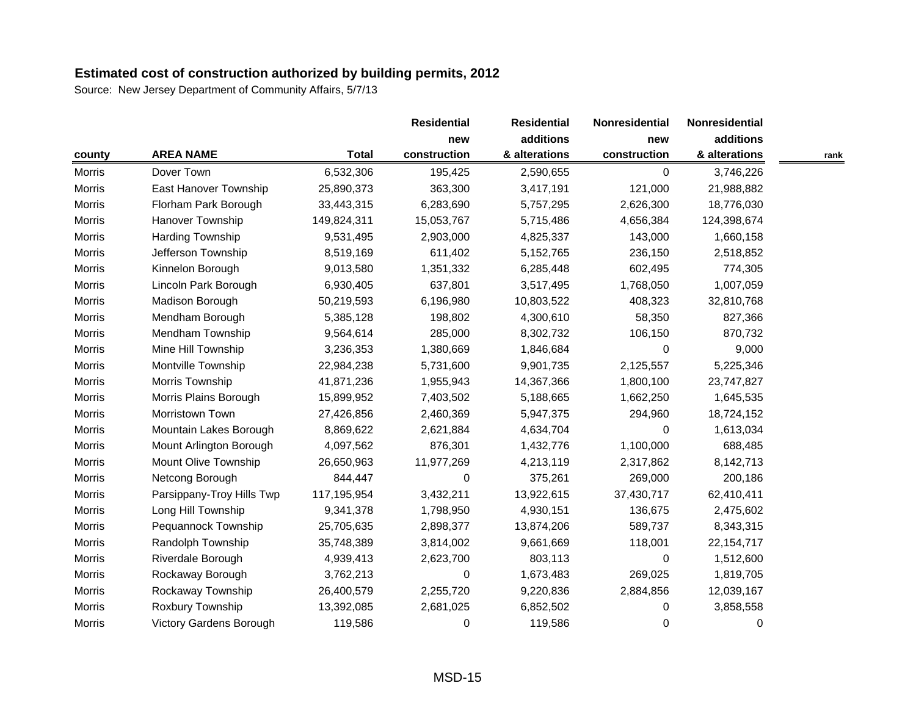|                                |              | <b>Residential</b> | <b>Residential</b> | Nonresidential | Nonresidential |      |
|--------------------------------|--------------|--------------------|--------------------|----------------|----------------|------|
|                                |              | new                | additions          | new            | additions      |      |
| <b>AREA NAME</b>               | <b>Total</b> | construction       | & alterations      | construction   | & alterations  | rank |
| Dover Town                     | 6,532,306    | 195,425            | 2,590,655          | $\Omega$       | 3,746,226      |      |
| East Hanover Township          | 25,890,373   | 363,300            | 3,417,191          | 121,000        | 21,988,882     |      |
| Florham Park Borough           | 33,443,315   | 6,283,690          | 5,757,295          | 2,626,300      | 18,776,030     |      |
| <b>Hanover Township</b>        | 149,824,311  | 15,053,767         | 5,715,486          | 4,656,384      | 124,398,674    |      |
| Harding Township               | 9,531,495    | 2,903,000          | 4,825,337          | 143,000        | 1,660,158      |      |
| Jefferson Township             | 8,519,169    | 611,402            | 5,152,765          | 236,150        | 2,518,852      |      |
| Kinnelon Borough               | 9,013,580    | 1,351,332          | 6,285,448          | 602,495        | 774,305        |      |
| Lincoln Park Borough           | 6,930,405    | 637,801            | 3,517,495          | 1,768,050      | 1,007,059      |      |
| Madison Borough                | 50,219,593   | 6,196,980          | 10,803,522         | 408,323        | 32,810,768     |      |
| Mendham Borough                | 5,385,128    | 198,802            | 4,300,610          | 58,350         | 827,366        |      |
| Mendham Township               | 9,564,614    | 285,000            | 8,302,732          | 106,150        | 870,732        |      |
| Mine Hill Township             | 3,236,353    | 1,380,669          | 1,846,684          | 0              | 9,000          |      |
| Montville Township             | 22,984,238   | 5,731,600          | 9,901,735          | 2,125,557      | 5,225,346      |      |
| Morris Township                | 41,871,236   | 1,955,943          | 14,367,366         | 1,800,100      | 23,747,827     |      |
| Morris Plains Borough          | 15,899,952   | 7,403,502          | 5,188,665          | 1,662,250      | 1,645,535      |      |
| Morristown Town                | 27,426,856   | 2,460,369          | 5,947,375          | 294,960        | 18,724,152     |      |
| Mountain Lakes Borough         | 8,869,622    | 2,621,884          | 4,634,704          | 0              | 1,613,034      |      |
| Mount Arlington Borough        | 4,097,562    | 876,301            | 1,432,776          | 1,100,000      | 688,485        |      |
| Mount Olive Township           | 26,650,963   | 11,977,269         | 4,213,119          | 2,317,862      | 8,142,713      |      |
| Netcong Borough                | 844,447      | 0                  | 375,261            | 269,000        | 200,186        |      |
| Parsippany-Troy Hills Twp      | 117,195,954  | 3,432,211          | 13,922,615         | 37,430,717     | 62,410,411     |      |
| Long Hill Township             | 9,341,378    | 1,798,950          | 4,930,151          | 136,675        | 2,475,602      |      |
| Pequannock Township            | 25,705,635   | 2,898,377          | 13,874,206         | 589,737        | 8,343,315      |      |
| Randolph Township              | 35,748,389   | 3,814,002          | 9,661,669          | 118,001        | 22, 154, 717   |      |
| Riverdale Borough              | 4,939,413    | 2,623,700          | 803,113            | 0              | 1,512,600      |      |
| Rockaway Borough               | 3,762,213    | 0                  | 1,673,483          | 269,025        | 1,819,705      |      |
| Rockaway Township              | 26,400,579   | 2,255,720          | 9,220,836          | 2,884,856      | 12,039,167     |      |
| Roxbury Township               | 13,392,085   | 2,681,025          | 6,852,502          | 0              | 3,858,558      |      |
| <b>Victory Gardens Borough</b> | 119,586      | 0                  | 119,586            | $\pmb{0}$      | 0              |      |
|                                |              |                    |                    |                |                |      |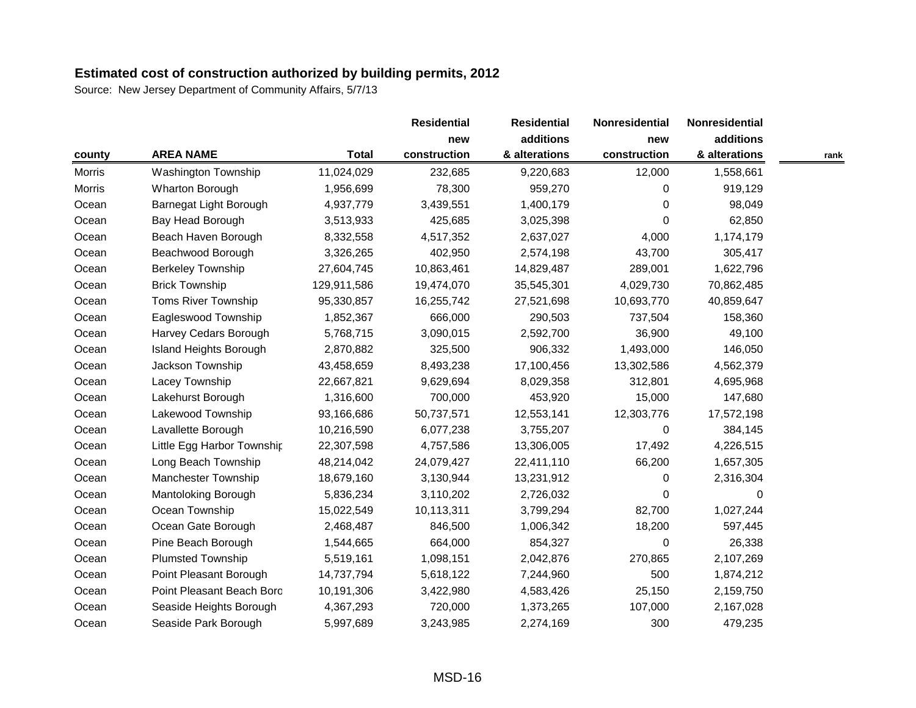|               |                               |              | <b>Residential</b> | <b>Residential</b> | Nonresidential | Nonresidential |      |
|---------------|-------------------------------|--------------|--------------------|--------------------|----------------|----------------|------|
|               |                               |              | new                | additions          | new            | additions      |      |
| county        | <b>AREA NAME</b>              | <b>Total</b> | construction       | & alterations      | construction   | & alterations  | rank |
| Morris        | <b>Washington Township</b>    | 11,024,029   | 232,685            | 9,220,683          | 12,000         | 1,558,661      |      |
| <b>Morris</b> | Wharton Borough               | 1,956,699    | 78,300             | 959,270            | $\Omega$       | 919,129        |      |
| Ocean         | Barnegat Light Borough        | 4,937,779    | 3,439,551          | 1,400,179          | $\Omega$       | 98,049         |      |
| Ocean         | Bay Head Borough              | 3,513,933    | 425,685            | 3,025,398          | $\Omega$       | 62,850         |      |
| Ocean         | Beach Haven Borough           | 8,332,558    | 4,517,352          | 2,637,027          | 4,000          | 1,174,179      |      |
| Ocean         | Beachwood Borough             | 3,326,265    | 402,950            | 2,574,198          | 43,700         | 305,417        |      |
| Ocean         | <b>Berkeley Township</b>      | 27,604,745   | 10,863,461         | 14,829,487         | 289,001        | 1,622,796      |      |
| Ocean         | <b>Brick Township</b>         | 129,911,586  | 19,474,070         | 35,545,301         | 4,029,730      | 70,862,485     |      |
| Ocean         | Toms River Township           | 95,330,857   | 16,255,742         | 27,521,698         | 10,693,770     | 40,859,647     |      |
| Ocean         | Eagleswood Township           | 1,852,367    | 666,000            | 290,503            | 737,504        | 158,360        |      |
| Ocean         | Harvey Cedars Borough         | 5,768,715    | 3,090,015          | 2,592,700          | 36,900         | 49,100         |      |
| Ocean         | <b>Island Heights Borough</b> | 2,870,882    | 325,500            | 906,332            | 1,493,000      | 146,050        |      |
| Ocean         | Jackson Township              | 43,458,659   | 8,493,238          | 17,100,456         | 13,302,586     | 4,562,379      |      |
| Ocean         | Lacey Township                | 22,667,821   | 9,629,694          | 8,029,358          | 312,801        | 4,695,968      |      |
| Ocean         | Lakehurst Borough             | 1,316,600    | 700,000            | 453,920            | 15,000         | 147,680        |      |
| Ocean         | Lakewood Township             | 93,166,686   | 50,737,571         | 12,553,141         | 12,303,776     | 17,572,198     |      |
| Ocean         | Lavallette Borough            | 10,216,590   | 6,077,238          | 3,755,207          | $\pmb{0}$      | 384,145        |      |
| Ocean         | Little Egg Harbor Township    | 22,307,598   | 4,757,586          | 13,306,005         | 17,492         | 4,226,515      |      |
| Ocean         | Long Beach Township           | 48,214,042   | 24,079,427         | 22,411,110         | 66,200         | 1,657,305      |      |
| Ocean         | Manchester Township           | 18,679,160   | 3,130,944          | 13,231,912         | $\Omega$       | 2,316,304      |      |
| Ocean         | Mantoloking Borough           | 5,836,234    | 3,110,202          | 2,726,032          | $\Omega$       | 0              |      |
| Ocean         | Ocean Township                | 15,022,549   | 10,113,311         | 3,799,294          | 82,700         | 1,027,244      |      |
| Ocean         | Ocean Gate Borough            | 2,468,487    | 846,500            | 1,006,342          | 18,200         | 597,445        |      |
| Ocean         | Pine Beach Borough            | 1,544,665    | 664,000            | 854,327            | $\Omega$       | 26,338         |      |
| Ocean         | <b>Plumsted Township</b>      | 5,519,161    | 1,098,151          | 2,042,876          | 270,865        | 2,107,269      |      |
| Ocean         | Point Pleasant Borough        | 14,737,794   | 5,618,122          | 7,244,960          | 500            | 1,874,212      |      |
| Ocean         | Point Pleasant Beach Boro     | 10,191,306   | 3,422,980          | 4,583,426          | 25,150         | 2,159,750      |      |
| Ocean         | Seaside Heights Borough       | 4,367,293    | 720,000            | 1,373,265          | 107,000        | 2,167,028      |      |
| Ocean         | Seaside Park Borough          | 5,997,689    | 3,243,985          | 2,274,169          | 300            | 479,235        |      |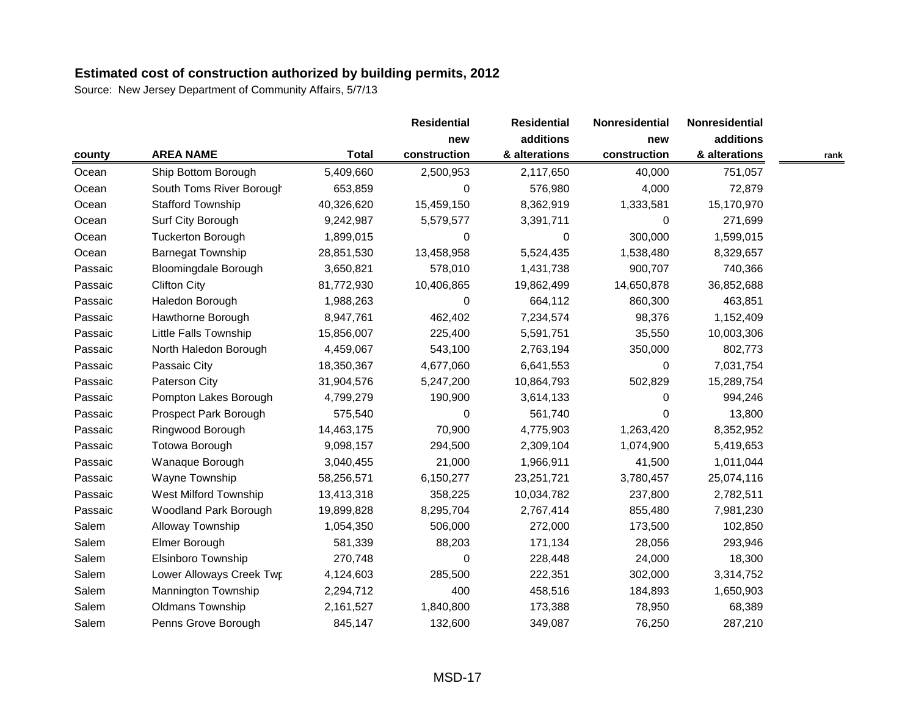|         |                              |              | <b>Residential</b> | <b>Residential</b> | Nonresidential | Nonresidential |      |
|---------|------------------------------|--------------|--------------------|--------------------|----------------|----------------|------|
|         |                              |              | new                | additions          | new            | additions      |      |
| county  | <b>AREA NAME</b>             | <b>Total</b> | construction       | & alterations      | construction   | & alterations  | rank |
| Ocean   | Ship Bottom Borough          | 5,409,660    | 2,500,953          | 2,117,650          | 40,000         | 751,057        |      |
| Ocean   | South Toms River Borough     | 653,859      | 0                  | 576,980            | 4,000          | 72,879         |      |
| Ocean   | <b>Stafford Township</b>     | 40,326,620   | 15,459,150         | 8,362,919          | 1,333,581      | 15,170,970     |      |
| Ocean   | Surf City Borough            | 9,242,987    | 5,579,577          | 3,391,711          | $\Omega$       | 271,699        |      |
| Ocean   | <b>Tuckerton Borough</b>     | 1,899,015    | 0                  | 0                  | 300,000        | 1,599,015      |      |
| Ocean   | <b>Barnegat Township</b>     | 28,851,530   | 13,458,958         | 5,524,435          | 1,538,480      | 8,329,657      |      |
| Passaic | <b>Bloomingdale Borough</b>  | 3,650,821    | 578,010            | 1,431,738          | 900,707        | 740,366        |      |
| Passaic | <b>Clifton City</b>          | 81,772,930   | 10,406,865         | 19,862,499         | 14,650,878     | 36,852,688     |      |
| Passaic | Haledon Borough              | 1,988,263    | 0                  | 664,112            | 860,300        | 463,851        |      |
| Passaic | Hawthorne Borough            | 8,947,761    | 462,402            | 7,234,574          | 98,376         | 1,152,409      |      |
| Passaic | <b>Little Falls Township</b> | 15,856,007   | 225,400            | 5,591,751          | 35,550         | 10,003,306     |      |
| Passaic | North Haledon Borough        | 4,459,067    | 543,100            | 2,763,194          | 350,000        | 802,773        |      |
| Passaic | Passaic City                 | 18,350,367   | 4,677,060          | 6,641,553          | 0              | 7,031,754      |      |
| Passaic | Paterson City                | 31,904,576   | 5,247,200          | 10,864,793         | 502,829        | 15,289,754     |      |
| Passaic | Pompton Lakes Borough        | 4,799,279    | 190,900            | 3,614,133          | $\Omega$       | 994,246        |      |
| Passaic | Prospect Park Borough        | 575,540      | 0                  | 561,740            | $\Omega$       | 13,800         |      |
| Passaic | Ringwood Borough             | 14,463,175   | 70,900             | 4,775,903          | 1,263,420      | 8,352,952      |      |
| Passaic | Totowa Borough               | 9,098,157    | 294,500            | 2,309,104          | 1,074,900      | 5,419,653      |      |
| Passaic | Wanaque Borough              | 3,040,455    | 21,000             | 1,966,911          | 41,500         | 1,011,044      |      |
| Passaic | Wayne Township               | 58,256,571   | 6,150,277          | 23,251,721         | 3,780,457      | 25,074,116     |      |
| Passaic | West Milford Township        | 13,413,318   | 358,225            | 10,034,782         | 237,800        | 2,782,511      |      |
| Passaic | <b>Woodland Park Borough</b> | 19,899,828   | 8,295,704          | 2,767,414          | 855,480        | 7,981,230      |      |
| Salem   | Alloway Township             | 1,054,350    | 506,000            | 272,000            | 173,500        | 102,850        |      |
| Salem   | Elmer Borough                | 581,339      | 88,203             | 171,134            | 28,056         | 293,946        |      |
| Salem   | Elsinboro Township           | 270,748      | 0                  | 228,448            | 24,000         | 18,300         |      |
| Salem   | Lower Alloways Creek Twp     | 4,124,603    | 285,500            | 222,351            | 302,000        | 3,314,752      |      |
| Salem   | Mannington Township          | 2,294,712    | 400                | 458,516            | 184,893        | 1,650,903      |      |
| Salem   | <b>Oldmans Township</b>      | 2,161,527    | 1,840,800          | 173,388            | 78,950         | 68,389         |      |
| Salem   | Penns Grove Borough          | 845,147      | 132,600            | 349,087            | 76,250         | 287,210        |      |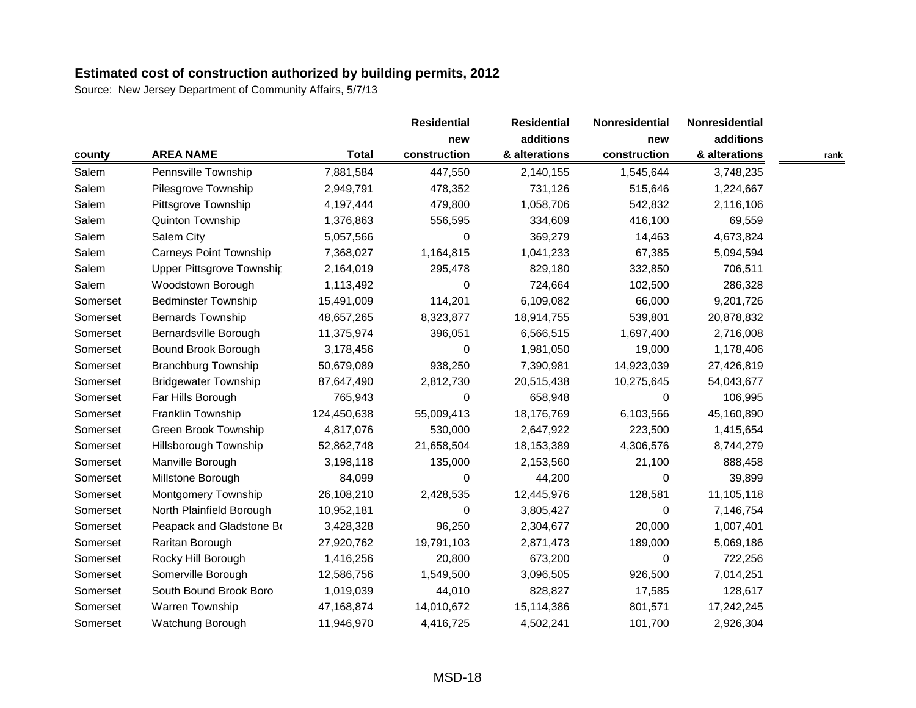|          |                               |              | <b>Residential</b> | <b>Residential</b> | Nonresidential | Nonresidential |      |
|----------|-------------------------------|--------------|--------------------|--------------------|----------------|----------------|------|
|          |                               |              | new                | additions          | new            | additions      |      |
| county   | <b>AREA NAME</b>              | <b>Total</b> | construction       | & alterations      | construction   | & alterations  | rank |
| Salem    | Pennsville Township           | 7,881,584    | 447,550            | 2,140,155          | 1,545,644      | 3,748,235      |      |
| Salem    | Pilesgrove Township           | 2,949,791    | 478,352            | 731,126            | 515,646        | 1,224,667      |      |
| Salem    | Pittsgrove Township           | 4,197,444    | 479,800            | 1,058,706          | 542,832        | 2,116,106      |      |
| Salem    | Quinton Township              | 1,376,863    | 556,595            | 334,609            | 416,100        | 69,559         |      |
| Salem    | Salem City                    | 5,057,566    | $\Omega$           | 369,279            | 14,463         | 4,673,824      |      |
| Salem    | <b>Carneys Point Township</b> | 7,368,027    | 1,164,815          | 1,041,233          | 67,385         | 5,094,594      |      |
| Salem    | Upper Pittsgrove Township     | 2,164,019    | 295,478            | 829,180            | 332,850        | 706,511        |      |
| Salem    | Woodstown Borough             | 1,113,492    | 0                  | 724,664            | 102,500        | 286,328        |      |
| Somerset | <b>Bedminster Township</b>    | 15,491,009   | 114,201            | 6,109,082          | 66,000         | 9,201,726      |      |
| Somerset | <b>Bernards Township</b>      | 48,657,265   | 8,323,877          | 18,914,755         | 539,801        | 20,878,832     |      |
| Somerset | Bernardsville Borough         | 11,375,974   | 396,051            | 6,566,515          | 1,697,400      | 2,716,008      |      |
| Somerset | Bound Brook Borough           | 3,178,456    | 0                  | 1,981,050          | 19,000         | 1,178,406      |      |
| Somerset | <b>Branchburg Township</b>    | 50,679,089   | 938,250            | 7,390,981          | 14,923,039     | 27,426,819     |      |
| Somerset | <b>Bridgewater Township</b>   | 87,647,490   | 2,812,730          | 20,515,438         | 10,275,645     | 54,043,677     |      |
| Somerset | Far Hills Borough             | 765,943      | 0                  | 658,948            | $\Omega$       | 106,995        |      |
| Somerset | Franklin Township             | 124,450,638  | 55,009,413         | 18,176,769         | 6,103,566      | 45,160,890     |      |
| Somerset | Green Brook Township          | 4,817,076    | 530,000            | 2,647,922          | 223,500        | 1,415,654      |      |
| Somerset | Hillsborough Township         | 52,862,748   | 21,658,504         | 18,153,389         | 4,306,576      | 8,744,279      |      |
| Somerset | Manville Borough              | 3,198,118    | 135,000            | 2,153,560          | 21,100         | 888,458        |      |
| Somerset | Millstone Borough             | 84,099       | 0                  | 44,200             | $\Omega$       | 39,899         |      |
| Somerset | <b>Montgomery Township</b>    | 26,108,210   | 2,428,535          | 12,445,976         | 128,581        | 11,105,118     |      |
| Somerset | North Plainfield Borough      | 10,952,181   | 0                  | 3,805,427          | 0              | 7,146,754      |      |
| Somerset | Peapack and Gladstone Bo      | 3,428,328    | 96,250             | 2,304,677          | 20,000         | 1,007,401      |      |
| Somerset | Raritan Borough               | 27,920,762   | 19,791,103         | 2,871,473          | 189,000        | 5,069,186      |      |
| Somerset | Rocky Hill Borough            | 1,416,256    | 20,800             | 673,200            | 0              | 722,256        |      |
| Somerset | Somerville Borough            | 12,586,756   | 1,549,500          | 3,096,505          | 926,500        | 7,014,251      |      |
| Somerset | South Bound Brook Boro        | 1,019,039    | 44,010             | 828,827            | 17,585         | 128,617        |      |
| Somerset | Warren Township               | 47,168,874   | 14,010,672         | 15,114,386         | 801,571        | 17,242,245     |      |
| Somerset | Watchung Borough              | 11,946,970   | 4,416,725          | 4,502,241          | 101,700        | 2,926,304      |      |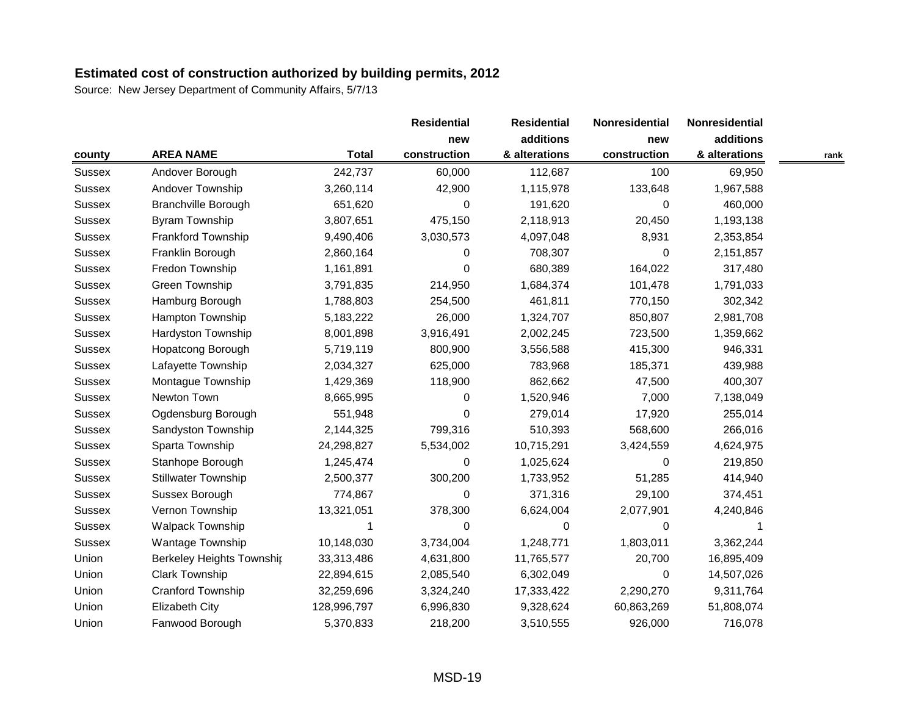|               |                            |              | <b>Residential</b> | <b>Residential</b> | Nonresidential | Nonresidential |      |
|---------------|----------------------------|--------------|--------------------|--------------------|----------------|----------------|------|
|               |                            |              | new                | additions          | new            | additions      |      |
| county        | <b>AREA NAME</b>           | <b>Total</b> | construction       | & alterations      | construction   | & alterations  | rank |
| <b>Sussex</b> | Andover Borough            | 242,737      | 60,000             | 112,687            | 100            | 69,950         |      |
| <b>Sussex</b> | Andover Township           | 3,260,114    | 42,900             | 1,115,978          | 133,648        | 1,967,588      |      |
| <b>Sussex</b> | <b>Branchville Borough</b> | 651,620      | 0                  | 191,620            | $\Omega$       | 460,000        |      |
| <b>Sussex</b> | <b>Byram Township</b>      | 3,807,651    | 475,150            | 2,118,913          | 20,450         | 1,193,138      |      |
| <b>Sussex</b> | Frankford Township         | 9,490,406    | 3,030,573          | 4,097,048          | 8,931          | 2,353,854      |      |
| <b>Sussex</b> | Franklin Borough           | 2,860,164    | 0                  | 708,307            | $\Omega$       | 2,151,857      |      |
| <b>Sussex</b> | Fredon Township            | 1,161,891    | 0                  | 680,389            | 164,022        | 317,480        |      |
| <b>Sussex</b> | Green Township             | 3,791,835    | 214,950            | 1,684,374          | 101,478        | 1,791,033      |      |
| <b>Sussex</b> | Hamburg Borough            | 1,788,803    | 254,500            | 461,811            | 770,150        | 302,342        |      |
| <b>Sussex</b> | Hampton Township           | 5,183,222    | 26,000             | 1,324,707          | 850,807        | 2,981,708      |      |
| <b>Sussex</b> | Hardyston Township         | 8,001,898    | 3,916,491          | 2,002,245          | 723,500        | 1,359,662      |      |
| Sussex        | Hopatcong Borough          | 5,719,119    | 800,900            | 3,556,588          | 415,300        | 946,331        |      |
| <b>Sussex</b> | Lafayette Township         | 2,034,327    | 625,000            | 783,968            | 185,371        | 439,988        |      |
| <b>Sussex</b> | Montague Township          | 1,429,369    | 118,900            | 862,662            | 47,500         | 400,307        |      |
| Sussex        | Newton Town                | 8,665,995    | 0                  | 1,520,946          | 7,000          | 7,138,049      |      |
| <b>Sussex</b> | Ogdensburg Borough         | 551,948      | 0                  | 279,014            | 17,920         | 255,014        |      |
| <b>Sussex</b> | Sandyston Township         | 2,144,325    | 799,316            | 510,393            | 568,600        | 266,016        |      |
| <b>Sussex</b> | Sparta Township            | 24,298,827   | 5,534,002          | 10,715,291         | 3,424,559      | 4,624,975      |      |
| <b>Sussex</b> | Stanhope Borough           | 1,245,474    | 0                  | 1,025,624          | 0              | 219,850        |      |
| <b>Sussex</b> | <b>Stillwater Township</b> | 2,500,377    | 300,200            | 1,733,952          | 51,285         | 414,940        |      |
| <b>Sussex</b> | Sussex Borough             | 774,867      | 0                  | 371,316            | 29,100         | 374,451        |      |
| <b>Sussex</b> | Vernon Township            | 13,321,051   | 378,300            | 6,624,004          | 2,077,901      | 4,240,846      |      |
| <b>Sussex</b> | <b>Walpack Township</b>    | 1            | 0                  | 0                  | $\pmb{0}$      |                |      |
| <b>Sussex</b> | <b>Wantage Township</b>    | 10,148,030   | 3,734,004          | 1,248,771          | 1,803,011      | 3,362,244      |      |
| Union         | Berkeley Heights Townshir  | 33,313,486   | 4,631,800          | 11,765,577         | 20,700         | 16,895,409     |      |
| Union         | Clark Township             | 22,894,615   | 2,085,540          | 6,302,049          | 0              | 14,507,026     |      |
| Union         | Cranford Township          | 32,259,696   | 3,324,240          | 17,333,422         | 2,290,270      | 9,311,764      |      |
| Union         | Elizabeth City             | 128,996,797  | 6,996,830          | 9,328,624          | 60,863,269     | 51,808,074     |      |
| Union         | Fanwood Borough            | 5,370,833    | 218,200            | 3,510,555          | 926,000        | 716,078        |      |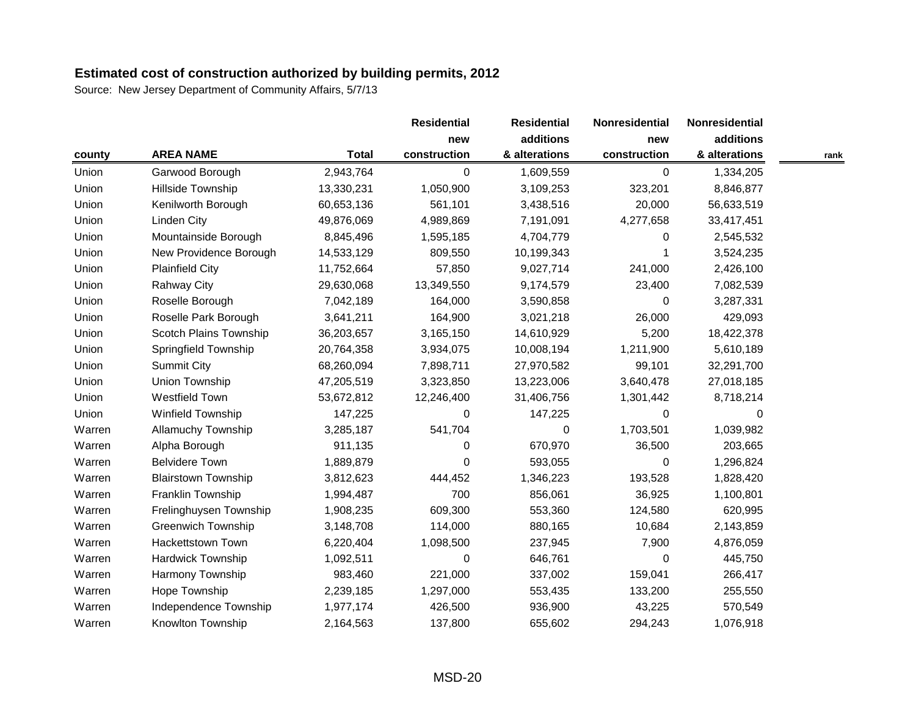|        |                            |              | <b>Residential</b> | <b>Residential</b> | Nonresidential | Nonresidential |      |
|--------|----------------------------|--------------|--------------------|--------------------|----------------|----------------|------|
|        |                            |              | new                | additions          | new            | additions      |      |
| county | <b>AREA NAME</b>           | <b>Total</b> | construction       | & alterations      | construction   | & alterations  | rank |
| Union  | Garwood Borough            | 2,943,764    | 0                  | 1,609,559          | $\mathbf 0$    | 1,334,205      |      |
| Union  | Hillside Township          | 13,330,231   | 1,050,900          | 3,109,253          | 323,201        | 8,846,877      |      |
| Union  | Kenilworth Borough         | 60,653,136   | 561,101            | 3,438,516          | 20,000         | 56,633,519     |      |
| Union  | <b>Linden City</b>         | 49,876,069   | 4,989,869          | 7,191,091          | 4,277,658      | 33,417,451     |      |
| Union  | Mountainside Borough       | 8,845,496    | 1,595,185          | 4,704,779          | 0              | 2,545,532      |      |
| Union  | New Providence Borough     | 14,533,129   | 809,550            | 10,199,343         |                | 3,524,235      |      |
| Union  | <b>Plainfield City</b>     | 11,752,664   | 57,850             | 9,027,714          | 241,000        | 2,426,100      |      |
| Union  | <b>Rahway City</b>         | 29,630,068   | 13,349,550         | 9,174,579          | 23,400         | 7,082,539      |      |
| Union  | Roselle Borough            | 7,042,189    | 164,000            | 3,590,858          | $\Omega$       | 3,287,331      |      |
| Union  | Roselle Park Borough       | 3,641,211    | 164,900            | 3,021,218          | 26,000         | 429,093        |      |
| Union  | Scotch Plains Township     | 36,203,657   | 3,165,150          | 14,610,929         | 5,200          | 18,422,378     |      |
| Union  | Springfield Township       | 20,764,358   | 3,934,075          | 10,008,194         | 1,211,900      | 5,610,189      |      |
| Union  | <b>Summit City</b>         | 68,260,094   | 7,898,711          | 27,970,582         | 99,101         | 32,291,700     |      |
| Union  | Union Township             | 47,205,519   | 3,323,850          | 13,223,006         | 3,640,478      | 27,018,185     |      |
| Union  | <b>Westfield Town</b>      | 53,672,812   | 12,246,400         | 31,406,756         | 1,301,442      | 8,718,214      |      |
| Union  | Winfield Township          | 147,225      | 0                  | 147,225            | $\Omega$       | 0              |      |
| Warren | <b>Allamuchy Township</b>  | 3,285,187    | 541,704            | 0                  | 1,703,501      | 1,039,982      |      |
| Warren | Alpha Borough              | 911,135      | 0                  | 670,970            | 36,500         | 203,665        |      |
| Warren | <b>Belvidere Town</b>      | 1,889,879    | $\Omega$           | 593,055            | $\Omega$       | 1,296,824      |      |
| Warren | <b>Blairstown Township</b> | 3,812,623    | 444,452            | 1,346,223          | 193,528        | 1,828,420      |      |
| Warren | Franklin Township          | 1,994,487    | 700                | 856,061            | 36,925         | 1,100,801      |      |
| Warren | Frelinghuysen Township     | 1,908,235    | 609,300            | 553,360            | 124,580        | 620,995        |      |
| Warren | <b>Greenwich Township</b>  | 3,148,708    | 114,000            | 880,165            | 10,684         | 2,143,859      |      |
| Warren | <b>Hackettstown Town</b>   | 6,220,404    | 1,098,500          | 237,945            | 7,900          | 4,876,059      |      |
| Warren | <b>Hardwick Township</b>   | 1,092,511    | 0                  | 646,761            | 0              | 445,750        |      |
| Warren | <b>Harmony Township</b>    | 983,460      | 221,000            | 337,002            | 159,041        | 266,417        |      |
| Warren | Hope Township              | 2,239,185    | 1,297,000          | 553,435            | 133,200        | 255,550        |      |
| Warren | Independence Township      | 1,977,174    | 426,500            | 936,900            | 43,225         | 570,549        |      |
| Warren | Knowlton Township          | 2,164,563    | 137,800            | 655,602            | 294,243        | 1,076,918      |      |